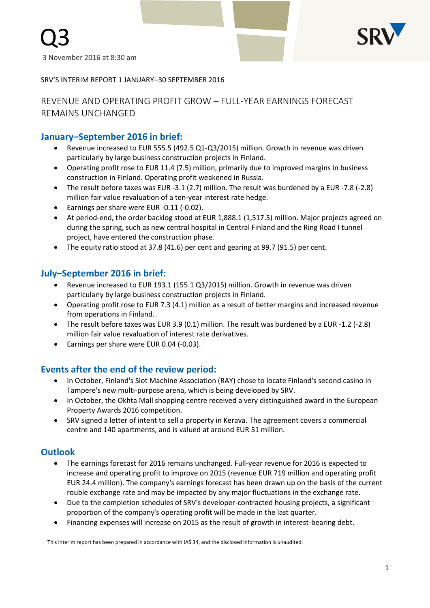

SRV'S INTERIM REPORT 1 JANUARY–30 SEPTEMBER 2016

# REVENUE AND OPERATING PROFIT GROW – FULL-YEAR EARNINGS FORECAST REMAINS UNCHANGED

## **January–September 2016 in brief:**

- Revenue increased to EUR 555.5 (492.5 Q1-Q3/2015) million. Growth in revenue was driven particularly by large business construction projects in Finland.
- Operating profit rose to EUR 11.4 (7.5) million, primarily due to improved margins in business construction in Finland. Operating profit weakened in Russia.
- The result before taxes was EUR -3.1 (2.7) million. The result was burdened by a EUR -7.8 (-2.8) million fair value revaluation of a ten-year interest rate hedge.
- Earnings per share were EUR -0.11 (-0.02).
- At period-end, the order backlog stood at EUR 1,888.1 (1,517.5) million. Major projects agreed on during the spring, such as new central hospital in Central Finland and the Ring Road I tunnel project, have entered the construction phase.
- The equity ratio stood at 37.8 (41.6) per cent and gearing at 99.7 (91.5) per cent.

# **July–September 2016 in brief:**

- Revenue increased to EUR 193.1 (155.1 Q3/2015) million. Growth in revenue was driven particularly by large business construction projects in Finland.
- Operating profit rose to EUR 7.3 (4.1) million as a result of better margins and increased revenue from operations in Finland.
- The result before taxes was EUR 3.9 (0.1) million. The result was burdened by a EUR -1.2 (-2.8) million fair value revaluation of interest rate derivatives.
- Earnings per share were EUR 0.04 (-0.03).

# **Events after the end of the review period:**

- In October, Finland's Slot Machine Association (RAY) chose to locate Finland's second casino in Tampere's new multi-purpose arena, which is being developed by SRV.
- In October, the Okhta Mall shopping centre received a very distinguished award in the European Property Awards 2016 competition.
- SRV signed a letter of intent to sell a property in Kerava. The agreement covers a commercial centre and 140 apartments, and is valued at around EUR 51 million.

## **Outlook**

- The earnings forecast for 2016 remains unchanged. Full-year revenue for 2016 is expected to increase and operating profit to improve on 2015 (revenue EUR 719 million and operating profit EUR 24.4 million). The company's earnings forecast has been drawn up on the basis of the current rouble exchange rate and may be impacted by any major fluctuations in the exchange rate.
- Due to the completion schedules of SRV's developer-contracted housing projects, a significant proportion of the company's operating profit will be made in the last quarter.
- Financing expenses will increase on 2015 as the result of growth in interest-bearing debt.

This interim report has been prepared in accordance with IAS 34, and the disclosed information is unaudited.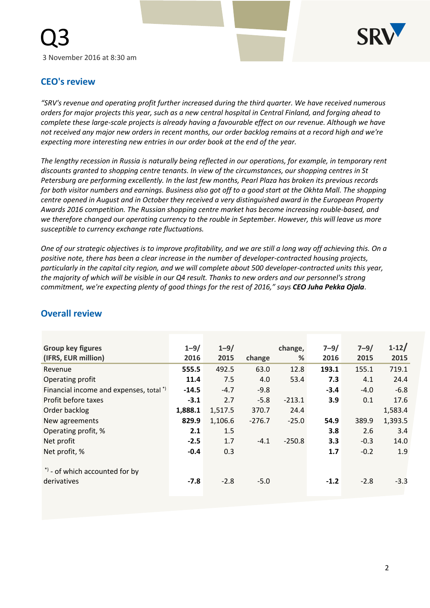

# **CEO's review**

*"SRV's revenue and operating profit further increased during the third quarter. We have received numerous orders for major projects this year, such as a new central hospital in Central Finland, and forging ahead to complete these large-scale projects is already having a favourable effect on our revenue. Although we have not received any major new orders in recent months, our order backlog remains at a record high and we're expecting more interesting new entries in our order book at the end of the year.*

*The lengthy recession in Russia is naturally being reflected in our operations, for example, in temporary rent discounts granted to shopping centre tenants. In view of the circumstances, our shopping centres in St Petersburg are performing excellently. In the last few months, Pearl Plaza has broken its previous records for both visitor numbers and earnings. Business also got off to a good start at the Okhta Mall. The shopping centre opened in August and in October they received a very distinguished award in the European Property Awards 2016 competition. The Russian shopping centre market has become increasing rouble-based, and we therefore changed our operating currency to the rouble in September. However, this will leave us more susceptible to currency exchange rate fluctuations.* 

*One of our strategic objectives is to improve profitability, and we are still a long way off achieving this. On a positive note, there has been a clear increase in the number of developer-contracted housing projects, particularly in the capital city region, and we will complete about 500 developer-contracted units this year, the majority of which will be visible in our Q4 result. Thanks to new orders and our personnel's strong commitment, we're expecting plenty of good things for the rest of 2016," says CEO Juha Pekka Ojala*.

| <b>Group key figures</b><br>(IFRS, EUR million) | $1 - 9/$<br>2016 | $1 - 9/$<br>2015 | change   | change,<br>% | $7 - 9/$<br>2016 | $7 - 9/$<br>2015 | $1 - 12/$<br>2015 |
|-------------------------------------------------|------------------|------------------|----------|--------------|------------------|------------------|-------------------|
| Revenue                                         | 555.5            | 492.5            | 63.0     | 12.8         | 193.1            | 155.1            | 719.1             |
| Operating profit                                | 11.4             | 7.5              | 4.0      | 53.4         | 7.3              | 4.1              | 24.4              |
| Financial income and expenses, total *)         | $-14.5$          | $-4.7$           | $-9.8$   |              | $-3.4$           | $-4.0$           | $-6.8$            |
| Profit before taxes                             | $-3.1$           | 2.7              | $-5.8$   | $-213.1$     | 3.9              | 0.1              | 17.6              |
| Order backlog                                   | 1,888.1          | 1,517.5          | 370.7    | 24.4         |                  |                  | 1,583.4           |
| New agreements                                  | 829.9            | 1,106.6          | $-276.7$ | $-25.0$      | 54.9             | 389.9            | 1,393.5           |
| Operating profit, %                             | 2.1              | 1.5              |          |              | 3.8              | 2.6              | 3.4               |
| Net profit                                      | $-2.5$           | 1.7              | $-4.1$   | $-250.8$     | 3.3              | $-0.3$           | 14.0              |
| Net profit, %                                   | $-0.4$           | 0.3              |          |              | 1.7              | $-0.2$           | 1.9               |
| *) - of which accounted for by<br>derivatives   | $-7.8$           | $-2.8$           | $-5.0$   |              | $-1.2$           | $-2.8$           | $-3.3$            |

# **Overall review**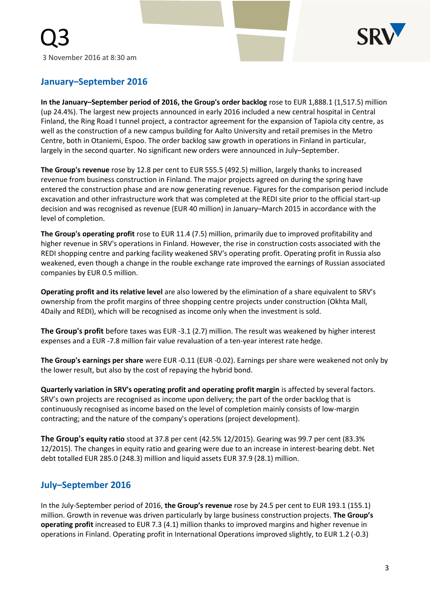

# **January–September 2016**

**In the January–September period of 2016, the Group's order backlog** rose to EUR 1,888.1 (1,517.5) million (up 24.4%). The largest new projects announced in early 2016 included a new central hospital in Central Finland, the Ring Road I tunnel project, a contractor agreement for the expansion of Tapiola city centre, as well as the construction of a new campus building for Aalto University and retail premises in the Metro Centre, both in Otaniemi, Espoo. The order backlog saw growth in operations in Finland in particular, largely in the second quarter. No significant new orders were announced in July–September.

**The Group's revenue** rose by 12.8 per cent to EUR 555.5 (492.5) million, largely thanks to increased revenue from business construction in Finland. The major projects agreed on during the spring have entered the construction phase and are now generating revenue. Figures for the comparison period include excavation and other infrastructure work that was completed at the REDI site prior to the official start-up decision and was recognised as revenue (EUR 40 million) in January–March 2015 in accordance with the level of completion.

**The Group's operating profit** rose to EUR 11.4 (7.5) million, primarily due to improved profitability and higher revenue in SRV's operations in Finland. However, the rise in construction costs associated with the REDI shopping centre and parking facility weakened SRV's operating profit. Operating profit in Russia also weakened, even though a change in the rouble exchange rate improved the earnings of Russian associated companies by EUR 0.5 million.

**Operating profit and its relative level** are also lowered by the elimination of a share equivalent to SRV's ownership from the profit margins of three shopping centre projects under construction (Okhta Mall, 4Daily and REDI), which will be recognised as income only when the investment is sold.

**The Group's profit** before taxes was EUR -3.1 (2.7) million. The result was weakened by higher interest expenses and a EUR -7.8 million fair value revaluation of a ten-year interest rate hedge.

**The Group's earnings per share** were EUR -0.11 (EUR -0.02). Earnings per share were weakened not only by the lower result, but also by the cost of repaying the hybrid bond.

**Quarterly variation in SRV's operating profit and operating profit margin** is affected by several factors. SRV's own projects are recognised as income upon delivery; the part of the order backlog that is continuously recognised as income based on the level of completion mainly consists of low-margin contracting; and the nature of the company's operations (project development).

**The Group's equity ratio** stood at 37.8 per cent (42.5% 12/2015). Gearing was 99.7 per cent (83.3% 12/2015). The changes in equity ratio and gearing were due to an increase in interest-bearing debt. Net debt totalled EUR 285.0 (248.3) million and liquid assets EUR 37.9 (28.1) million.

# **July–September 2016**

In the July-September period of 2016, **the Group's revenue** rose by 24.5 per cent to EUR 193.1 (155.1) million. Growth in revenue was driven particularly by large business construction projects. **The Group's operating profit** increased to EUR 7.3 (4.1) million thanks to improved margins and higher revenue in operations in Finland. Operating profit in International Operations improved slightly, to EUR 1.2 (-0.3)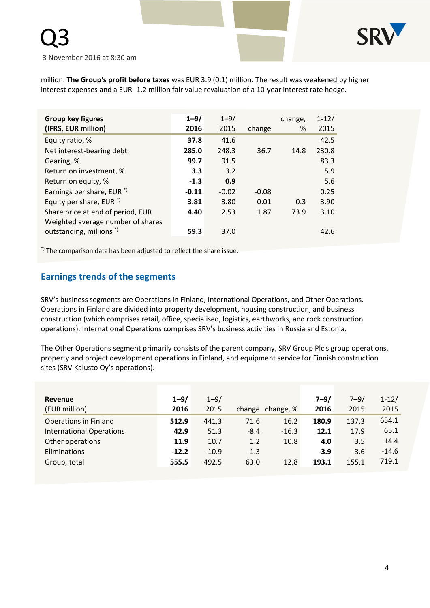

million. **The Group's profit before taxes** was EUR 3.9 (0.1) million. The result was weakened by higher interest expenses and a EUR -1.2 million fair value revaluation of a 10-year interest rate hedge.

| <b>Group key figures</b><br>(IFRS, EUR million) | $1 - 9/$<br>2016 | $1 - 9/$<br>2015 | change  | change,<br>% | $1 - 12/$<br>2015 |
|-------------------------------------------------|------------------|------------------|---------|--------------|-------------------|
| Equity ratio, %                                 | 37.8             | 41.6             |         |              | 42.5              |
| Net interest-bearing debt                       | 285.0            | 248.3            | 36.7    | 14.8         | 230.8             |
| Gearing, %                                      | 99.7             | 91.5             |         |              | 83.3              |
| Return on investment, %                         | 3.3              | 3.2              |         |              | 5.9               |
| Return on equity, %                             | $-1.3$           | 0.9              |         |              | 5.6               |
| Earnings per share, EUR <sup>*</sup>            | $-0.11$          | $-0.02$          | $-0.08$ |              | 0.25              |
| Equity per share, EUR $*$ )                     | 3.81             | 3.80             | 0.01    | 0.3          | 3.90              |
| Share price at end of period, EUR               | 4.40             | 2.53             | 1.87    | 73.9         | 3.10              |
| Weighted average number of shares               |                  |                  |         |              |                   |
| outstanding, millions <sup>*</sup> )            | 59.3             | 37.0             |         |              | 42.6              |

\*) The comparison data has been adjusted to reflect the share issue.

# **Earnings trends of the segments**

SRV's business segments are Operations in Finland, International Operations, and Other Operations. Operations in Finland are divided into property development, housing construction, and business construction (which comprises retail, office, specialised, logistics, earthworks, and rock construction operations). International Operations comprises SRV's business activities in Russia and Estonia.

The Other Operations segment primarily consists of the parent company, SRV Group Plc's group operations, property and project development operations in Finland, and equipment service for Finnish construction sites (SRV Kalusto Oy's operations).

| Revenue                         | $1 - 9/$ | $1 - 9/$ |        |                  | $7 - 9/$ | $7 - 9/$ | $1 - 12/$ |
|---------------------------------|----------|----------|--------|------------------|----------|----------|-----------|
| (EUR million)                   | 2016     | 2015     |        | change change, % | 2016     | 2015     | 2015      |
| <b>Operations in Finland</b>    | 512.9    | 441.3    | 71.6   | 16.2             | 180.9    | 137.3    | 654.1     |
| <b>International Operations</b> | 42.9     | 51.3     | $-8.4$ | $-16.3$          | 12.1     | 17.9     | 65.1      |
| Other operations                | 11.9     | 10.7     | 1.2    | 10.8             | 4.0      | 3.5      | 14.4      |
| Eliminations                    | $-12.2$  | $-10.9$  | $-1.3$ |                  | $-3.9$   | $-3.6$   | $-14.6$   |
| Group, total                    | 555.5    | 492.5    | 63.0   | 12.8             | 193.1    | 155.1    | 719.1     |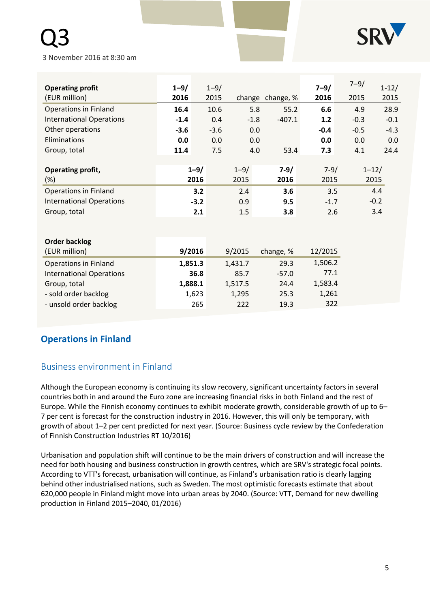# Q3

3 November 2016 at 8:30 am

| <b>Operating profit</b>         | $1 - 9/$ | $1 - 9/$ |          |                  | $7 - 9/$ | $7 - 9/$ | $1 - 12/$ |
|---------------------------------|----------|----------|----------|------------------|----------|----------|-----------|
| (EUR million)                   | 2016     | 2015     |          | change change, % | 2016     | 2015     | 2015      |
| <b>Operations in Finland</b>    | 16.4     | 10.6     | 5.8      | 55.2             | 6.6      | 4.9      | 28.9      |
| <b>International Operations</b> | $-1.4$   | 0.4      | $-1.8$   | $-407.1$         | $1.2$    | $-0.3$   | $-0.1$    |
| Other operations                | $-3.6$   | $-3.6$   | 0.0      |                  | $-0.4$   | $-0.5$   | $-4.3$    |
| Eliminations                    | 0.0      | 0.0      | 0.0      |                  | 0.0      | 0.0      | 0.0       |
| Group, total                    | 11.4     | 7.5      | 4.0      | 53.4             | 7.3      | 4.1      | 24.4      |
|                                 |          |          |          |                  |          |          |           |
| Operating profit,               | $1 - 9/$ |          | $1 - 9/$ | $7-9/$           | $7 - 9/$ |          | $1 - 12/$ |
| $(\%)$                          | 2016     |          | 2015     | 2016             | 2015     |          | 2015      |
| <b>Operations in Finland</b>    | 3.2      |          | 2.4      | 3.6              | 3.5      |          | 4.4       |
| <b>International Operations</b> | $-3.2$   |          | 0.9      | 9.5              | $-1.7$   |          | $-0.2$    |
| Group, total                    | 2.1      |          | 1.5      | 3.8              | 2.6      |          | 3.4       |
|                                 |          |          |          |                  |          |          |           |
|                                 |          |          |          |                  |          |          |           |
| <b>Order backlog</b>            |          |          |          |                  |          |          |           |
| (EUR million)                   | 9/2016   |          | 9/2015   | change, %        | 12/2015  |          |           |
| <b>Operations in Finland</b>    | 1,851.3  |          | 1,431.7  | 29.3             | 1,506.2  |          |           |
| <b>International Operations</b> | 36.8     |          | 85.7     | $-57.0$          | 77.1     |          |           |
| Group, total                    | 1,888.1  |          | 1,517.5  | 24.4             | 1,583.4  |          |           |

# **Operations in Finland**

# Business environment in Finland

Although the European economy is continuing its slow recovery, significant uncertainty factors in several countries both in and around the Euro zone are increasing financial risks in both Finland and the rest of Europe. While the Finnish economy continues to exhibit moderate growth, considerable growth of up to 6– 7 per cent is forecast for the construction industry in 2016. However, this will only be temporary, with growth of about 1–2 per cent predicted for next year. (Source: Business cycle review by the Confederation of Finnish Construction Industries RT 10/2016)

- sold order backlog 1,623 1,295 25.3 1,261 - unsold order backlog 265 222 19.3 322

Urbanisation and population shift will continue to be the main drivers of construction and will increase the need for both housing and business construction in growth centres, which are SRV's strategic focal points. According to VTT's forecast, urbanisation will continue, as Finland's urbanisation ratio is clearly lagging behind other industrialised nations, such as Sweden. The most optimistic forecasts estimate that about 620,000 people in Finland might move into urban areas by 2040. (Source: VTT, Demand for new dwelling production in Finland 2015–2040, 01/2016)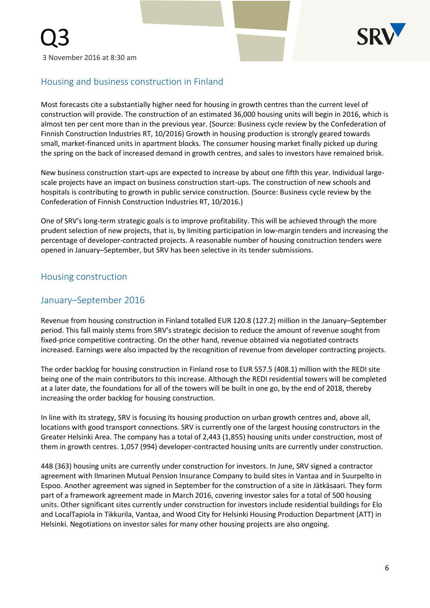

# Housing and business construction in Finland

Most forecasts cite a substantially higher need for housing in growth centres than the current level of construction will provide. The construction of an estimated 36,000 housing units will begin in 2016, which is almost ten per cent more than in the previous year. (Source: Business cycle review by the Confederation of Finnish Construction Industries RT, 10/2016) Growth in housing production is strongly geared towards small, market-financed units in apartment blocks. The consumer housing market finally picked up during the spring on the back of increased demand in growth centres, and sales to investors have remained brisk.

New business construction start-ups are expected to increase by about one fifth this year. Individual largescale projects have an impact on business construction start-ups. The construction of new schools and hospitals is contributing to growth in public service construction. (Source: Business cycle review by the Confederation of Finnish Construction Industries RT, 10/2016.)

One of SRV's long-term strategic goals is to improve profitability. This will be achieved through the more prudent selection of new projects, that is, by limiting participation in low-margin tenders and increasing the percentage of developer-contracted projects. A reasonable number of housing construction tenders were opened in January–September, but SRV has been selective in its tender submissions.

# Housing construction

# January–September 2016

Revenue from housing construction in Finland totalled EUR 120.8 (127.2) million in the January–September period. This fall mainly stems from SRV's strategic decision to reduce the amount of revenue sought from fixed-price competitive contracting. On the other hand, revenue obtained via negotiated contracts increased. Earnings were also impacted by the recognition of revenue from developer contracting projects.

The order backlog for housing construction in Finland rose to EUR 557.5 (408.1) million with the REDI site being one of the main contributors to this increase. Although the REDI residential towers will be completed at a later date, the foundations for all of the towers will be built in one go, by the end of 2018, thereby increasing the order backlog for housing construction.

In line with its strategy, SRV is focusing its housing production on urban growth centres and, above all, locations with good transport connections. SRV is currently one of the largest housing constructors in the Greater Helsinki Area. The company has a total of 2,443 (1,855) housing units under construction, most of them in growth centres. 1,057 (994) developer-contracted housing units are currently under construction.

448 (363) housing units are currently under construction for investors. In June, SRV signed a contractor agreement with Ilmarinen Mutual Pension Insurance Company to build sites in Vantaa and in Suurpelto in Espoo. Another agreement was signed in September for the construction of a site in Jätkäsaari. They form part of a framework agreement made in March 2016, covering investor sales for a total of 500 housing units. Other significant sites currently under construction for investors include residential buildings for Elo and LocalTapiola in Tikkurila, Vantaa, and Wood City for Helsinki Housing Production Department (ATT) in Helsinki. Negotiations on investor sales for many other housing projects are also ongoing.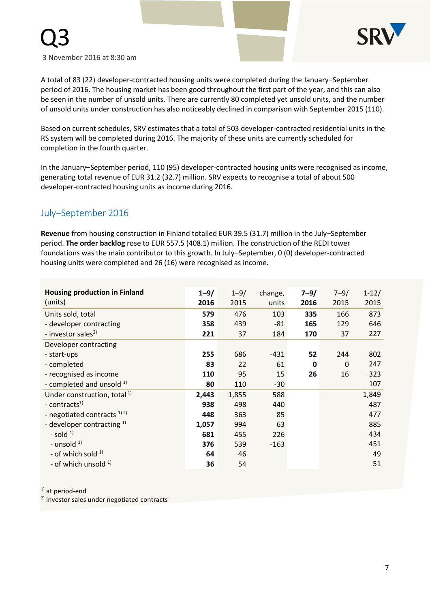



A total of 83 (22) developer-contracted housing units were completed during the January–September period of 2016. The housing market has been good throughout the first part of the year, and this can also be seen in the number of unsold units. There are currently 80 completed yet unsold units, and the number of unsold units under construction has also noticeably declined in comparison with September 2015 (110).

Based on current schedules, SRV estimates that a total of 503 developer-contracted residential units in the RS system will be completed during 2016. The majority of these units are currently scheduled for completion in the fourth quarter.

In the January–September period, 110 (95) developer-contracted housing units were recognised as income, generating total revenue of EUR 31.2 (32.7) million. SRV expects to recognise a total of about 500 developer-contracted housing units as income during 2016.

# July–September 2016

**Revenue** from housing construction in Finland totalled EUR 39.5 (31.7) million in the July–September period. **The order backlog** rose to EUR 557.5 (408.1) million. The construction of the REDI tower foundations was the main contributor to this growth. In July–September, 0 (0) developer-contracted housing units were completed and 26 (16) were recognised as income.

| <b>Housing production in Finland</b><br>(units) | $1 - 9/$<br>2016 | $1 - 9/$<br>2015 | change,<br>units | $7 - 9/$<br>2016 | $7 - 9/$<br>2015 | $1 - 12/$<br>2015 |
|-------------------------------------------------|------------------|------------------|------------------|------------------|------------------|-------------------|
|                                                 |                  |                  |                  |                  |                  |                   |
| Units sold, total                               | 579              | 476              | 103              | 335              | 166              | 873               |
| - developer contracting                         | 358              | 439              | $-81$            | 165              | 129              | 646               |
| - investor sales <sup>2)</sup>                  | 221              | 37               | 184              | 170              | 37               | 227               |
| Developer contracting                           |                  |                  |                  |                  |                  |                   |
| - start-ups                                     | 255              | 686              | $-431$           | 52               | 244              | 802               |
| - completed                                     | 83               | 22               | 61               | 0                | $\Omega$         | 247               |
| - recognised as income                          | 110              | 95               | 15               | 26               | 16               | 323               |
| - completed and unsold $1$ )                    | 80               | 110              | $-30$            |                  |                  | 107               |
| Under construction, total <sup>1)</sup>         | 2,443            | 1,855            | 588              |                  |                  | 1,849             |
| - contracts <sup>1)</sup>                       | 938              | 498              | 440              |                  |                  | 487               |
| - negotiated contracts $^{1/2}$                 | 448              | 363              | 85               |                  |                  | 477               |
| - developer contracting $1$ )                   | 1,057            | 994              | 63               |                  |                  | 885               |
| - sold $1$                                      | 681              | 455              | 226              |                  |                  | 434               |
| - unsold $1$                                    | 376              | 539              | $-163$           |                  |                  | 451               |
| - of which sold $1$                             | 64               | 46               |                  |                  |                  | 49                |
| - of which unsold <sup>1)</sup>                 | 36               | 54               |                  |                  |                  | 51                |

 $1)$  at period-end

2) investor sales under negotiated contracts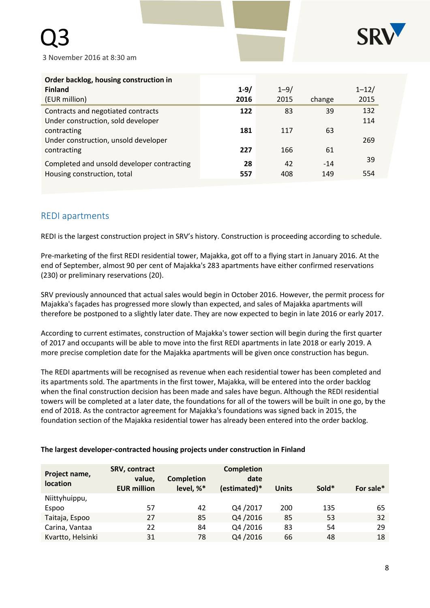

| Order backlog, housing construction in<br><b>Finland</b><br>(EUR million)                 | $1 - 9/$<br>2016 | $1 - 9/$<br>2015 | change       | $1 - 12/$<br>2015 |
|-------------------------------------------------------------------------------------------|------------------|------------------|--------------|-------------------|
| Contracts and negotiated contracts                                                        | 122              | 83               | 39           | 132               |
| Under construction, sold developer<br>contracting<br>Under construction, unsold developer | 181              | 117              | 63           | 114<br>269        |
| contracting                                                                               | 227              | 166              | 61           |                   |
| Completed and unsold developer contracting<br>Housing construction, total                 | 28<br>557        | 42<br>408        | $-14$<br>149 | 39<br>554         |

# REDI apartments

REDI is the largest construction project in SRV's history. Construction is proceeding according to schedule.

Pre-marketing of the first REDI residential tower, Majakka, got off to a flying start in January 2016. At the end of September, almost 90 per cent of Majakka's 283 apartments have either confirmed reservations (230) or preliminary reservations (20).

SRV previously announced that actual sales would begin in October 2016. However, the permit process for Majakka's façades has progressed more slowly than expected, and sales of Majakka apartments will therefore be postponed to a slightly later date. They are now expected to begin in late 2016 or early 2017.

According to current estimates, construction of Majakka's tower section will begin during the first quarter of 2017 and occupants will be able to move into the first REDI apartments in late 2018 or early 2019. A more precise completion date for the Majakka apartments will be given once construction has begun.

The REDI apartments will be recognised as revenue when each residential tower has been completed and its apartments sold. The apartments in the first tower, Majakka, will be entered into the order backlog when the final construction decision has been made and sales have begun. Although the REDI residential towers will be completed at a later date, the foundations for all of the towers will be built in one go, by the end of 2018. As the contractor agreement for Majakka's foundations was signed back in 2015, the foundation section of the Majakka residential tower has already been entered into the order backlog.

| Project name,<br>location | <b>SRV, contract</b><br>value,<br><b>EUR million</b> | <b>Completion</b><br>level, %* | <b>Completion</b><br>date<br>(estimated)* | <b>Units</b> | Sold* | For sale* |
|---------------------------|------------------------------------------------------|--------------------------------|-------------------------------------------|--------------|-------|-----------|
| Niittyhuippu,             |                                                      |                                |                                           |              |       |           |
| Espoo                     | 57                                                   | 42                             | Q4/2017                                   | 200          | 135   | 65        |
| Taitaja, Espoo            | 27                                                   | 85                             | Q4/2016                                   | 85           | 53    | 32        |
| Carina, Vantaa            | 22                                                   | 84                             | Q4/2016                                   | 83           | 54    | 29        |
| Kvartto, Helsinki         | 31                                                   | 78                             | Q4/2016                                   | 66           | 48    | 18        |

#### **The largest developer-contracted housing projects under construction in Finland**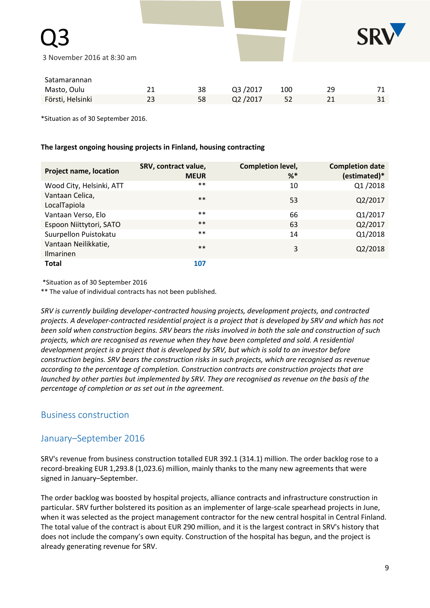

Q3

| Satamarannan     |    |         |     |    |    |
|------------------|----|---------|-----|----|----|
| Masto, Oulu      | 38 | Q3/2017 | 100 | っぃ |    |
| Försti, Helsinki | 58 | Q2/2017 |     |    | 31 |

\*Situation as of 30 September 2016.

#### **The largest ongoing housing projects in Finland, housing contracting**

| <b>Project name, location</b>            | SRV, contract value,<br><b>MEUR</b> | <b>Completion level,</b><br>$%^*$ | <b>Completion date</b><br>(estimated)* |
|------------------------------------------|-------------------------------------|-----------------------------------|----------------------------------------|
| Wood City, Helsinki, ATT                 | $***$                               | 10                                | Q1/2018                                |
| Vantaan Celica,<br>LocalTapiola          | $***$                               | 53                                | Q2/2017                                |
| Vantaan Verso, Elo                       | $***$                               | 66                                | Q1/2017                                |
| Espoon Niittytori, SATO                  | $***$                               | 63                                | Q2/2017                                |
| Suurpellon Puistokatu                    | $***$                               | 14                                | Q1/2018                                |
| Vantaan Neilikkatie,<br><b>Ilmarinen</b> | $***$                               | 3                                 | Q2/2018                                |
| <b>Total</b>                             | 107                                 |                                   |                                        |

\*Situation as of 30 September 2016

\*\* The value of individual contracts has not been published*.*

*SRV is currently building developer-contracted housing projects, development projects, and contracted projects. A developer-contracted residential project is a project that is developed by SRV and which has not been sold when construction begins. SRV bears the risks involved in both the sale and construction of such projects, which are recognised as revenue when they have been completed and sold. A residential development project is a project that is developed by SRV, but which is sold to an investor before construction begins. SRV bears the construction risks in such projects, which are recognised as revenue according to the percentage of completion. Construction contracts are construction projects that are launched by other parties but implemented by SRV. They are recognised as revenue on the basis of the percentage of completion or as set out in the agreement.*

# Business construction

# January–September 2016

SRV's revenue from business construction totalled EUR 392.1 (314.1) million. The order backlog rose to a record-breaking EUR 1,293.8 (1,023.6) million, mainly thanks to the many new agreements that were signed in January–September.

The order backlog was boosted by hospital projects, alliance contracts and infrastructure construction in particular. SRV further bolstered its position as an implementer of large-scale spearhead projects in June, when it was selected as the project management contractor for the new central hospital in Central Finland. The total value of the contract is about EUR 290 million, and it is the largest contract in SRV's history that does not include the company's own equity. Construction of the hospital has begun, and the project is already generating revenue for SRV.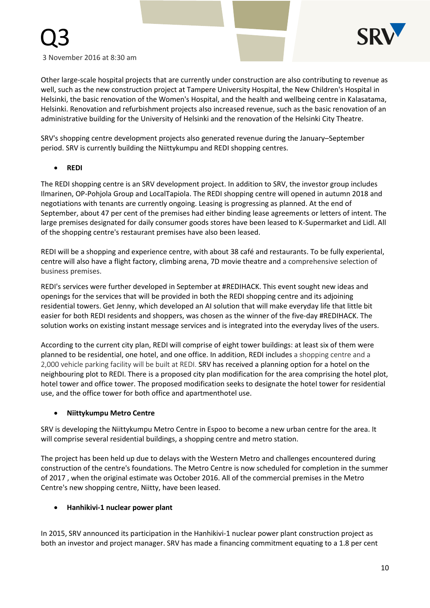

Other large-scale hospital projects that are currently under construction are also contributing to revenue as well, such as the new construction project at Tampere University Hospital, the New Children's Hospital in Helsinki, the basic renovation of the Women's Hospital, and the health and wellbeing centre in Kalasatama, Helsinki. Renovation and refurbishment projects also increased revenue, such as the basic renovation of an administrative building for the University of Helsinki and the renovation of the Helsinki City Theatre.

SRV's shopping centre development projects also generated revenue during the January–September period. SRV is currently building the Niittykumpu and REDI shopping centres.

**REDI**

The REDI shopping centre is an SRV development project. In addition to SRV, the investor group includes Ilmarinen, OP-Pohjola Group and LocalTapiola. The REDI shopping centre will opened in autumn 2018 and negotiations with tenants are currently ongoing. Leasing is progressing as planned. At the end of September, about 47 per cent of the premises had either binding lease agreements or letters of intent. The large premises designated for daily consumer goods stores have been leased to K-Supermarket and Lidl. All of the shopping centre's restaurant premises have also been leased.

REDI will be a shopping and experience centre, with about 38 café and restaurants. To be fully experiental, centre will also have a flight factory, climbing arena, 7D movie theatre and a comprehensive selection of business premises.

REDI's services were further developed in September at #REDIHACK. This event sought new ideas and openings for the services that will be provided in both the REDI shopping centre and its adjoining residential towers. Get Jenny, which developed an AI solution that will make everyday life that little bit easier for both REDI residents and shoppers, was chosen as the winner of the five-day #REDIHACK. The solution works on existing instant message services and is integrated into the everyday lives of the users.

According to the current city plan, REDI will comprise of eight tower buildings: at least six of them were planned to be residential, one hotel, and one office. In addition, REDI includes a shopping centre and a 2,000 vehicle parking facility will be built at REDI. SRV has received a planning option for a hotel on the neighbouring plot to REDI. There is a proposed city plan modification for the area comprising the hotel plot, hotel tower and office tower. The proposed modification seeks to designate the hotel tower for residential use, and the office tower for both office and apartmenthotel use.

#### **Niittykumpu Metro Centre**

SRV is developing the Niittykumpu Metro Centre in Espoo to become a new urban centre for the area. It will comprise several residential buildings, a shopping centre and metro station.

The project has been held up due to delays with the Western Metro and challenges encountered during construction of the centre's foundations. The Metro Centre is now scheduled for completion in the summer of 2017 , when the original estimate was October 2016. All of the commercial premises in the Metro Centre's new shopping centre, Niitty, have been leased.

#### **Hanhikivi-1 nuclear power plant**

In 2015, SRV announced its participation in the Hanhikivi-1 nuclear power plant construction project as both an investor and project manager. SRV has made a financing commitment equating to a 1.8 per cent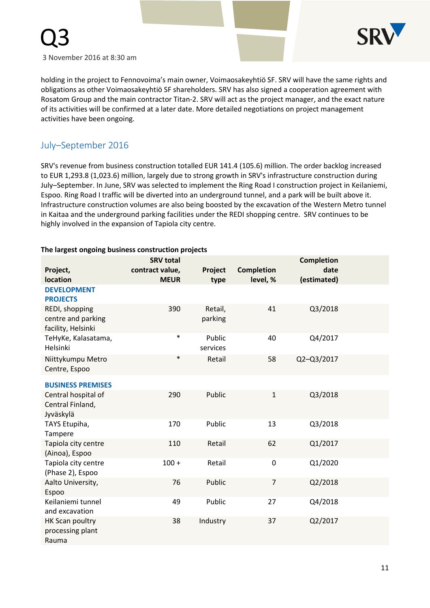

holding in the project to Fennovoima's main owner, Voimaosakeyhtiö SF. SRV will have the same rights and obligations as other Voimaosakeyhtiö SF shareholders. SRV has also signed a cooperation agreement with Rosatom Group and the main contractor Titan-2. SRV will act as the project manager, and the exact nature of its activities will be confirmed at a later date. More detailed negotiations on project management activities have been ongoing.

# July–September 2016

SRV's revenue from business construction totalled EUR 141.4 (105.6) million. The order backlog increased to EUR 1,293.8 (1,023.6) million, largely due to strong growth in SRV's infrastructure construction during July–September. In June, SRV was selected to implement the Ring Road I construction project in Keilaniemi, Espoo. Ring Road I traffic will be diverted into an underground tunnel, and a park will be built above it. Infrastructure construction volumes are also being boosted by the excavation of the Western Metro tunnel in Kaitaa and the underground parking facilities under the REDI shopping centre. SRV continues to be highly involved in the expansion of Tapiola city centre.

|  |  | The largest ongoing business construction projects |  |
|--|--|----------------------------------------------------|--|
|  |  |                                                    |  |

| Project,                                                   | <b>SRV total</b><br>contract value, | Project            | <b>Completion</b> | <b>Completion</b><br>date |  |
|------------------------------------------------------------|-------------------------------------|--------------------|-------------------|---------------------------|--|
| location<br><b>DEVELOPMENT</b><br><b>PROJECTS</b>          | <b>MEUR</b>                         | type               | level, %          | (estimated)               |  |
| REDI, shopping<br>centre and parking<br>facility, Helsinki | 390                                 | Retail,<br>parking | 41                | Q3/2018                   |  |
| TeHyKe, Kalasatama,<br>Helsinki                            | $\ast$                              | Public<br>services | 40                | Q4/2017                   |  |
| Niittykumpu Metro<br>Centre, Espoo                         | $\ast$                              | Retail             | 58                | Q2-Q3/2017                |  |
| <b>BUSINESS PREMISES</b>                                   |                                     |                    |                   |                           |  |
| Central hospital of<br>Central Finland,<br>Jyväskylä       | 290                                 | Public             | $\mathbf{1}$      | Q3/2018                   |  |
| TAYS Etupiha,<br>Tampere                                   | 170                                 | Public             | 13                | Q3/2018                   |  |
| Tapiola city centre<br>(Ainoa), Espoo                      | 110                                 | Retail             | 62                | Q1/2017                   |  |
| Tapiola city centre<br>(Phase 2), Espoo                    | $100 +$                             | Retail             | 0                 | Q1/2020                   |  |
| Aalto University,<br>Espoo                                 | 76                                  | Public             | $\overline{7}$    | Q2/2018                   |  |
| Keilaniemi tunnel<br>and excavation                        | 49                                  | Public             | 27                | Q4/2018                   |  |
| HK Scan poultry<br>processing plant<br>Rauma               | 38                                  | Industry           | 37                | Q2/2017                   |  |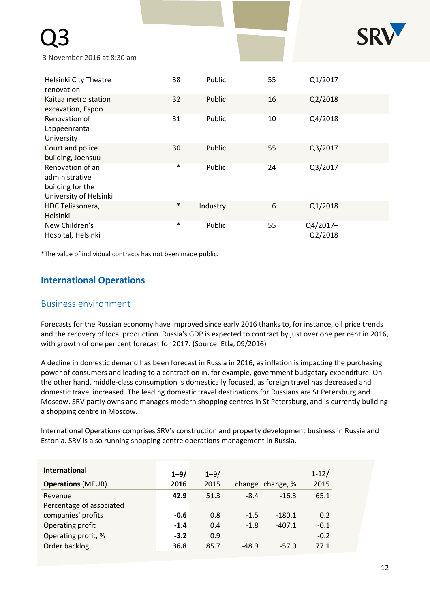# Q3



3 November 2016 at 8:30 am

| Helsinki City Theatre<br>renovation                                              | 38     | Public   | 55 | Q1/2017             |
|----------------------------------------------------------------------------------|--------|----------|----|---------------------|
| Kaitaa metro station<br>excavation, Espoo                                        | 32     | Public   | 16 | Q2/2018             |
| Renovation of<br>Lappeenranta<br>University                                      | 31     | Public   | 10 | Q4/2018             |
| Court and police<br>building, Joensuu                                            | 30     | Public   | 55 | Q3/2017             |
| Renovation of an<br>administrative<br>building for the<br>University of Helsinki | $\ast$ | Public   | 24 | Q3/2017             |
| HDC Teliasonera,<br>Helsinki                                                     | $\ast$ | Industry | 6  | Q1/2018             |
| New Children's<br>Hospital, Helsinki                                             | $\ast$ | Public   | 55 | Q4/2017-<br>Q2/2018 |

\*The value of individual contracts has not been made public.

# **International Operations**

# Business environment

Forecasts for the Russian economy have improved since early 2016 thanks to, for instance, oil price trends and the recovery of local production. Russia's GDP is expected to contract by just over one per cent in 2016, with growth of one per cent forecast for 2017. (Source: Etla, 09/2016)

A decline in domestic demand has been forecast in Russia in 2016, as inflation is impacting the purchasing power of consumers and leading to a contraction in, for example, government budgetary expenditure. On the other hand, middle-class consumption is domestically focused, as foreign travel has decreased and domestic travel increased. The leading domestic travel destinations for Russians are St Petersburg and Moscow. SRV partly owns and manages modern shopping centres in St Petersburg, and is currently building a shopping centre in Moscow.

International Operations comprises SRV's construction and property development business in Russia and Estonia. SRV is also running shopping centre operations management in Russia.

| <b>International</b>     | $1 - 9/$ | $1 - 9/$ |         |                  | $1 - 12/$ |
|--------------------------|----------|----------|---------|------------------|-----------|
| <b>Operations (MEUR)</b> | 2016     | 2015     |         | change change, % | 2015      |
| Revenue                  | 42.9     | 51.3     | $-8.4$  | $-16.3$          | 65.1      |
| Percentage of associated |          |          |         |                  |           |
| companies' profits       | $-0.6$   | 0.8      | $-1.5$  | $-180.1$         | 0.2       |
| Operating profit         | $-1.4$   | 0.4      | $-1.8$  | $-407.1$         | $-0.1$    |
| Operating profit, %      | $-3.2$   | 0.9      |         |                  | $-0.2$    |
| Order backlog            | 36.8     | 85.7     | $-48.9$ | $-57.0$          | 77.1      |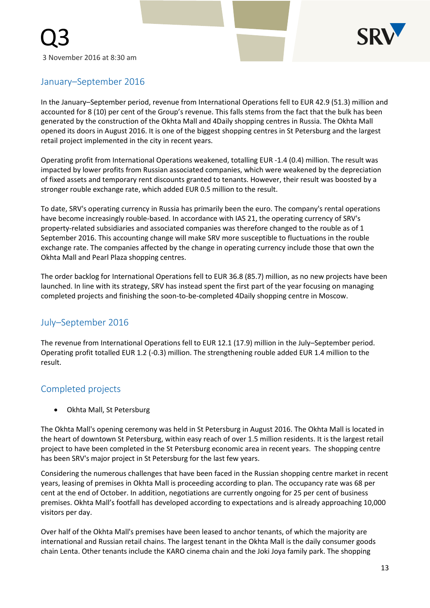

# January–September 2016

In the January–September period, revenue from International Operations fell to EUR 42.9 (51.3) million and accounted for 8 (10) per cent of the Group's revenue. This falls stems from the fact that the bulk has been generated by the construction of the Okhta Mall and 4Daily shopping centres in Russia. The Okhta Mall opened its doors in August 2016. It is one of the biggest shopping centres in St Petersburg and the largest retail project implemented in the city in recent years.

Operating profit from International Operations weakened, totalling EUR -1.4 (0.4) million. The result was impacted by lower profits from Russian associated companies, which were weakened by the depreciation of fixed assets and temporary rent discounts granted to tenants. However, their result was boosted by a stronger rouble exchange rate, which added EUR 0.5 million to the result.

To date, SRV's operating currency in Russia has primarily been the euro. The company's rental operations have become increasingly rouble-based. In accordance with IAS 21, the operating currency of SRV's property-related subsidiaries and associated companies was therefore changed to the rouble as of 1 September 2016. This accounting change will make SRV more susceptible to fluctuations in the rouble exchange rate. The companies affected by the change in operating currency include those that own the Okhta Mall and Pearl Plaza shopping centres.

The order backlog for International Operations fell to EUR 36.8 (85.7) million, as no new projects have been launched. In line with its strategy, SRV has instead spent the first part of the year focusing on managing completed projects and finishing the soon-to-be-completed 4Daily shopping centre in Moscow.

# July–September 2016

The revenue from International Operations fell to EUR 12.1 (17.9) million in the July–September period. Operating profit totalled EUR 1.2 (-0.3) million. The strengthening rouble added EUR 1.4 million to the result.

# Completed projects

Okhta Mall, St Petersburg

The Okhta Mall's opening ceremony was held in St Petersburg in August 2016. The Okhta Mall is located in the heart of downtown St Petersburg, within easy reach of over 1.5 million residents. It is the largest retail project to have been completed in the St Petersburg economic area in recent years. The shopping centre has been SRV's major project in St Petersburg for the last few years.

Considering the numerous challenges that have been faced in the Russian shopping centre market in recent years, leasing of premises in Okhta Mall is proceeding according to plan. The occupancy rate was 68 per cent at the end of October. In addition, negotiations are currently ongoing for 25 per cent of business premises. Okhta Mall's footfall has developed according to expectations and is already approaching 10,000 visitors per day.

Over half of the Okhta Mall's premises have been leased to anchor tenants, of which the majority are international and Russian retail chains. The largest tenant in the Okhta Mall is the daily consumer goods chain Lenta. Other tenants include the KARO cinema chain and the Joki Joya family park. The shopping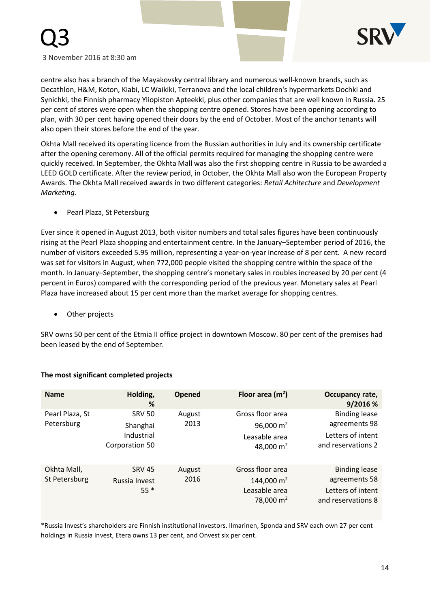

Q3

centre also has a branch of the Mayakovsky central library and numerous well-known brands, such as Decathlon, H&M, Koton, Kiabi, LC Waikiki, Terranova and the local children's hypermarkets Dochki and Synichki, the Finnish pharmacy Yliopiston Apteekki, plus other companies that are well known in Russia. 25 per cent of stores were open when the shopping centre opened. Stores have been opening according to plan, with 30 per cent having opened their doors by the end of October. Most of the anchor tenants will also open their stores before the end of the year.

Okhta Mall received its operating licence from the Russian authorities in July and its ownership certificate after the opening ceremony. All of the official permits required for managing the shopping centre were quickly received. In September, the Okhta Mall was also the first shopping centre in Russia to be awarded a LEED GOLD certificate. After the review period, in October, the Okhta Mall also won the European Property Awards. The Okhta Mall received awards in two different categories: *Retail Achitecture* and *Development Marketing.*

Pearl Plaza, St Petersburg

Ever since it opened in August 2013, both visitor numbers and total sales figures have been continuously rising at the Pearl Plaza shopping and entertainment centre. In the January–September period of 2016, the number of visitors exceeded 5.95 million, representing a year-on-year increase of 8 per cent. A new record was set for visitors in August, when 772,000 people visited the shopping centre within the space of the month. In January–September, the shopping centre's monetary sales in roubles increased by 20 per cent (4 percent in Euros) compared with the corresponding period of the previous year. Monetary sales at Pearl Plaza have increased about 15 per cent more than the market average for shopping centres.

Other projects

SRV owns 50 per cent of the Etmia II office project in downtown Moscow. 80 per cent of the premises had been leased by the end of September.

| <b>Name</b>                   | Holding,<br>%                                             | Opened         | Floor area $(m2)$                                                          | Occupancy rate,<br>9/2016 %                                                      |
|-------------------------------|-----------------------------------------------------------|----------------|----------------------------------------------------------------------------|----------------------------------------------------------------------------------|
| Pearl Plaza, St<br>Petersburg | <b>SRV 50</b><br>Shanghai<br>Industrial<br>Corporation 50 | August<br>2013 | Gross floor area<br>96,000 $m2$<br>Leasable area<br>48,000 $m2$            | <b>Binding lease</b><br>agreements 98<br>Letters of intent<br>and reservations 2 |
| Okhta Mall,<br>St Petersburg  | <b>SRV 45</b><br>Russia Invest<br>$55*$                   | August<br>2016 | Gross floor area<br>144,000 m <sup>2</sup><br>Leasable area<br>78,000 $m2$ | <b>Binding lease</b><br>agreements 58<br>Letters of intent<br>and reservations 8 |

#### **The most significant completed projects**

\*Russia Invest's shareholders are Finnish institutional investors. Ilmarinen, Sponda and SRV each own 27 per cent holdings in Russia Invest, Etera owns 13 per cent, and Onvest six per cent.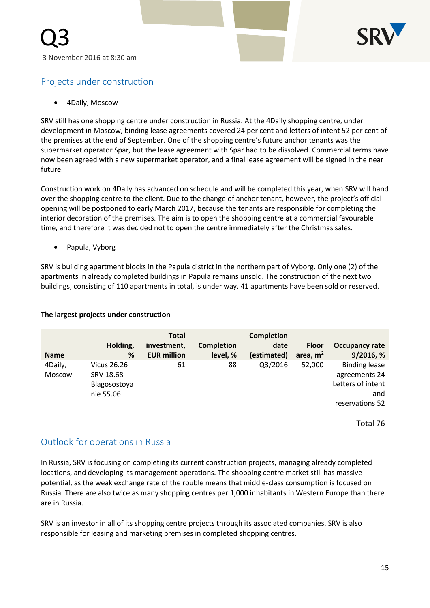

# Projects under construction

4Daily, Moscow

SRV still has one shopping centre under construction in Russia. At the 4Daily shopping centre, under development in Moscow, binding lease agreements covered 24 per cent and letters of intent 52 per cent of the premises at the end of September. One of the shopping centre's future anchor tenants was the supermarket operator Spar, but the lease agreement with Spar had to be dissolved. Commercial terms have now been agreed with a new supermarket operator, and a final lease agreement will be signed in the near future.

Construction work on 4Daily has advanced on schedule and will be completed this year, when SRV will hand over the shopping centre to the client. Due to the change of anchor tenant, however, the project's official opening will be postponed to early March 2017, because the tenants are responsible for completing the interior decoration of the premises. The aim is to open the shopping centre at a commercial favourable time, and therefore it was decided not to open the centre immediately after the Christmas sales.

Papula, Vyborg

SRV is building apartment blocks in the Papula district in the northern part of Vyborg. Only one (2) of the apartments in already completed buildings in Papula remains unsold. The construction of the next two buildings, consisting of 110 apartments in total, is under way. 41 apartments have been sold or reserved.

#### **The largest projects under construction**

| <b>Name</b>       | Holding,<br>%                            | <b>Total</b><br>investment,<br><b>EUR million</b> | <b>Completion</b><br>level, % | <b>Completion</b><br>date<br>(estimated) | <b>Floor</b><br>area, $m2$ | <b>Occupancy rate</b><br>9/2016, %                         |
|-------------------|------------------------------------------|---------------------------------------------------|-------------------------------|------------------------------------------|----------------------------|------------------------------------------------------------|
| 4Daily,<br>Moscow | Vicus 26.26<br>SRV 18.68<br>Blagosostoya | 61                                                | 88                            | Q3/2016                                  | 52,000                     | <b>Binding lease</b><br>agreements 24<br>Letters of intent |
|                   | nie 55.06                                |                                                   |                               |                                          |                            | and<br>reservations 52                                     |

Total 76

# Outlook for operations in Russia

In Russia, SRV is focusing on completing its current construction projects, managing already completed locations, and developing its management operations. The shopping centre market still has massive potential, as the weak exchange rate of the rouble means that middle-class consumption is focused on Russia. There are also twice as many shopping centres per 1,000 inhabitants in Western Europe than there are in Russia.

SRV is an investor in all of its shopping centre projects through its associated companies. SRV is also responsible for leasing and marketing premises in completed shopping centres.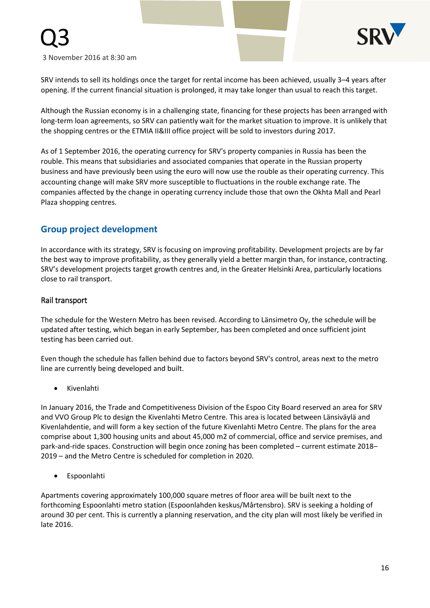

Q3

SRV intends to sell its holdings once the target for rental income has been achieved, usually 3–4 years after opening. If the current financial situation is prolonged, it may take longer than usual to reach this target.

Although the Russian economy is in a challenging state, financing for these projects has been arranged with long-term loan agreements, so SRV can patiently wait for the market situation to improve. It is unlikely that the shopping centres or the ETMIA II&III office project will be sold to investors during 2017.

As of 1 September 2016, the operating currency for SRV's property companies in Russia has been the rouble. This means that subsidiaries and associated companies that operate in the Russian property business and have previously been using the euro will now use the rouble as their operating currency. This accounting change will make SRV more susceptible to fluctuations in the rouble exchange rate. The companies affected by the change in operating currency include those that own the Okhta Mall and Pearl Plaza shopping centres.

## **Group project development**

In accordance with its strategy, SRV is focusing on improving profitability. Development projects are by far the best way to improve profitability, as they generally yield a better margin than, for instance, contracting. SRV's development projects target growth centres and, in the Greater Helsinki Area, particularly locations close to rail transport.

#### Rail transport

The schedule for the Western Metro has been revised. According to Länsimetro Oy, the schedule will be updated after testing, which began in early September, has been completed and once sufficient joint testing has been carried out.

Even though the schedule has fallen behind due to factors beyond SRV's control, areas next to the metro line are currently being developed and built.

Kivenlahti

In January 2016, the Trade and Competitiveness Division of the Espoo City Board reserved an area for SRV and VVO Group Plc to design the Kivenlahti Metro Centre. This area is located between Länsiväylä and Kivenlahdentie, and will form a key section of the future Kivenlahti Metro Centre. The plans for the area comprise about 1,300 housing units and about 45,000 m2 of commercial, office and service premises, and park-and-ride spaces. Construction will begin once zoning has been completed – current estimate 2018– 2019 – and the Metro Centre is scheduled for completion in 2020.

Espoonlahti

Apartments covering approximately 100,000 square metres of floor area will be built next to the forthcoming Espoonlahti metro station (Espoonlahden keskus/Mårtensbro). SRV is seeking a holding of around 30 per cent. This is currently a planning reservation, and the city plan will most likely be verified in late 2016.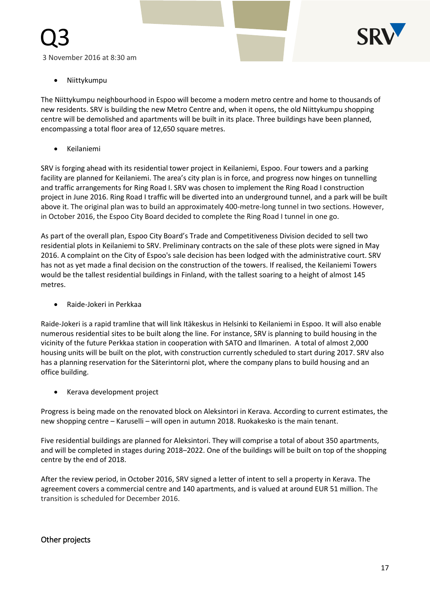

Niittykumpu

Q3

The Niittykumpu neighbourhood in Espoo will become a modern metro centre and home to thousands of new residents. SRV is building the new Metro Centre and, when it opens, the old Niittykumpu shopping centre will be demolished and apartments will be built in its place. Three buildings have been planned, encompassing a total floor area of 12,650 square metres.

Keilaniemi

SRV is forging ahead with its residential tower project in Keilaniemi, Espoo. Four towers and a parking facility are planned for Keilaniemi. The area's city plan is in force, and progress now hinges on tunnelling and traffic arrangements for Ring Road I. SRV was chosen to implement the Ring Road I construction project in June 2016. Ring Road I traffic will be diverted into an underground tunnel, and a park will be built above it. The original plan was to build an approximately 400-metre-long tunnel in two sections. However, in October 2016, the Espoo City Board decided to complete the Ring Road I tunnel in one go.

As part of the overall plan, Espoo City Board's Trade and Competitiveness Division decided to sell two residential plots in Keilaniemi to SRV. Preliminary contracts on the sale of these plots were signed in May 2016. A complaint on the City of Espoo's sale decision has been lodged with the administrative court. SRV has not as yet made a final decision on the construction of the towers. If realised, the Keilaniemi Towers would be the tallest residential buildings in Finland, with the tallest soaring to a height of almost 145 metres.

Raide-Jokeri in Perkkaa

Raide-Jokeri is a rapid tramline that will link Itäkeskus in Helsinki to Keilaniemi in Espoo. It will also enable numerous residential sites to be built along the line. For instance, SRV is planning to build housing in the vicinity of the future Perkkaa station in cooperation with SATO and Ilmarinen. A total of almost 2,000 housing units will be built on the plot, with construction currently scheduled to start during 2017. SRV also has a planning reservation for the Säterintorni plot, where the company plans to build housing and an office building.

• Kerava development project

Progress is being made on the renovated block on Aleksintori in Kerava. According to current estimates, the new shopping centre – Karuselli – will open in autumn 2018. Ruokakesko is the main tenant.

Five residential buildings are planned for Aleksintori. They will comprise a total of about 350 apartments, and will be completed in stages during 2018–2022. One of the buildings will be built on top of the shopping centre by the end of 2018.

After the review period, in October 2016, SRV signed a letter of intent to sell a property in Kerava. The agreement covers a commercial centre and 140 apartments, and is valued at around EUR 51 million. The transition is scheduled for December 2016.

#### Other projects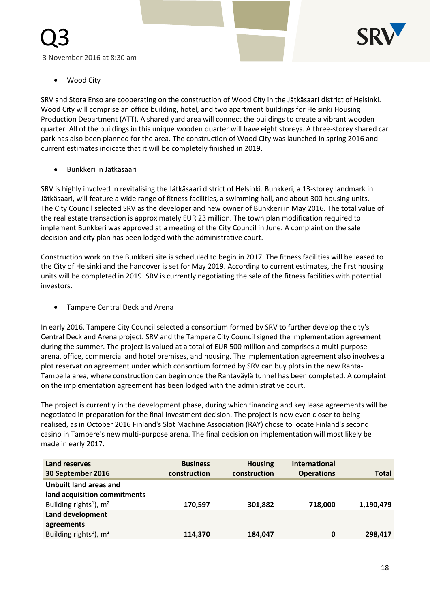

Wood City

Q3

SRV and Stora Enso are cooperating on the construction of Wood City in the Jätkäsaari district of Helsinki. Wood City will comprise an office building, hotel, and two apartment buildings for Helsinki Housing Production Department (ATT). A shared yard area will connect the buildings to create a vibrant wooden quarter. All of the buildings in this unique wooden quarter will have eight storeys. A three-storey shared car park has also been planned for the area. The construction of Wood City was launched in spring 2016 and current estimates indicate that it will be completely finished in 2019.

Bunkkeri in Jätkäsaari

SRV is highly involved in revitalising the Jätkäsaari district of Helsinki. Bunkkeri, a 13-storey landmark in Jätkäsaari, will feature a wide range of fitness facilities, a swimming hall, and about 300 housing units. The City Council selected SRV as the developer and new owner of Bunkkeri in May 2016. The total value of the real estate transaction is approximately EUR 23 million. The town plan modification required to implement Bunkkeri was approved at a meeting of the City Council in June. A complaint on the sale decision and city plan has been lodged with the administrative court.

Construction work on the Bunkkeri site is scheduled to begin in 2017. The fitness facilities will be leased to the City of Helsinki and the handover is set for May 2019. According to current estimates, the first housing units will be completed in 2019. SRV is currently negotiating the sale of the fitness facilities with potential investors.

**•** Tampere Central Deck and Arena

In early 2016, Tampere City Council selected a consortium formed by SRV to further develop the city's Central Deck and Arena project. SRV and the Tampere City Council signed the implementation agreement during the summer. The project is valued at a total of EUR 500 million and comprises a multi-purpose arena, office, commercial and hotel premises, and housing. The implementation agreement also involves a plot reservation agreement under which consortium formed by SRV can buy plots in the new Ranta-Tampella area, where construction can begin once the Rantaväylä tunnel has been completed. A complaint on the implementation agreement has been lodged with the administrative court.

The project is currently in the development phase, during which financing and key lease agreements will be negotiated in preparation for the final investment decision. The project is now even closer to being realised, as in October 2016 Finland's Slot Machine Association (RAY) chose to locate Finland's second casino in Tampere's new multi-purpose arena. The final decision on implementation will most likely be made in early 2017.

| Land reserves<br>30 September 2016                     | <b>Business</b><br>construction | <b>Housing</b><br>construction | <b>International</b><br><b>Operations</b> | <b>Total</b> |
|--------------------------------------------------------|---------------------------------|--------------------------------|-------------------------------------------|--------------|
| Unbuilt land areas and<br>land acquisition commitments |                                 |                                |                                           |              |
| Building rights <sup>1</sup> ), $m2$                   | 170,597                         | 301,882                        | 718,000                                   | 1,190,479    |
| Land development                                       |                                 |                                |                                           |              |
| agreements                                             |                                 |                                |                                           |              |
| Building rights <sup>1</sup> ), m <sup>2</sup>         | 114,370                         | 184,047                        | 0                                         | 298,417      |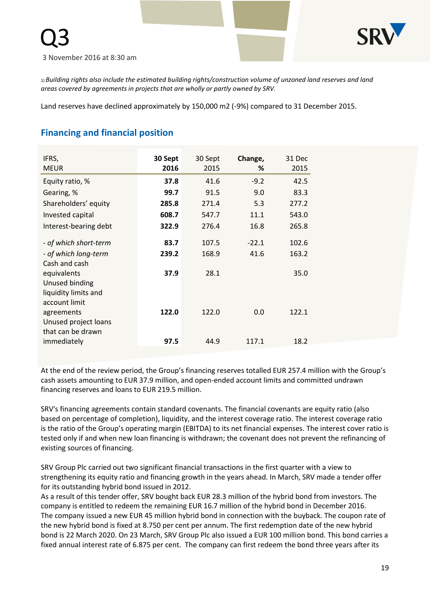

1) *Building rights also include the estimated building rights/construction volume of unzoned land reserves and land areas covered by agreements in projects that are wholly or partly owned by SRV.*

Land reserves have declined approximately by 150,000 m2 (-9%) compared to 31 December 2015.

# **Financing and financial position**

| IFRS,<br><b>MEUR</b>                                                     | 30 Sept<br>2016 | 30 Sept<br>2015 | Change,<br>% | 31 Dec<br>2015 |
|--------------------------------------------------------------------------|-----------------|-----------------|--------------|----------------|
| Equity ratio, %                                                          | 37.8            | 41.6            | $-9.2$       | 42.5           |
| Gearing, %                                                               | 99.7            | 91.5            | 9.0          | 83.3           |
| Shareholders' equity                                                     | 285.8           | 271.4           | 5.3          | 277.2          |
| Invested capital                                                         | 608.7           | 547.7           | 11.1         | 543.0          |
| Interest-bearing debt                                                    | 322.9           | 276.4           | 16.8         | 265.8          |
| - of which short-term                                                    | 83.7            | 107.5           | $-22.1$      | 102.6          |
| - of which long-term                                                     | 239.2           | 168.9           | 41.6         | 163.2          |
| Cash and cash<br>equivalents<br>Unused binding<br>liquidity limits and   | 37.9            | 28.1            |              | 35.0           |
| account limit<br>agreements<br>Unused project loans<br>that can be drawn | 122.0           | 122.0           | 0.0          | 122.1          |
| immediately                                                              | 97.5            | 44.9            | 117.1        | 18.2           |

At the end of the review period, the Group's financing reserves totalled EUR 257.4 million with the Group's cash assets amounting to EUR 37.9 million, and open-ended account limits and committed undrawn financing reserves and loans to EUR 219.5 million.

SRV's financing agreements contain standard covenants. The financial covenants are equity ratio (also based on percentage of completion), liquidity, and the interest coverage ratio. The interest coverage ratio is the ratio of the Group's operating margin (EBITDA) to its net financial expenses. The interest cover ratio is tested only if and when new loan financing is withdrawn; the covenant does not prevent the refinancing of existing sources of financing.

SRV Group Plc carried out two significant financial transactions in the first quarter with a view to strengthening its equity ratio and financing growth in the years ahead. In March, SRV made a tender offer for its outstanding hybrid bond issued in 2012.

As a result of this tender offer, SRV bought back EUR 28.3 million of the hybrid bond from investors. The company is entitled to redeem the remaining EUR 16.7 million of the hybrid bond in December 2016. The company issued a new EUR 45 million hybrid bond in connection with the buyback. The coupon rate of the new hybrid bond is fixed at 8.750 per cent per annum. The first redemption date of the new hybrid bond is 22 March 2020. On 23 March, SRV Group Plc also issued a EUR 100 million bond. This bond carries a fixed annual interest rate of 6.875 per cent. The company can first redeem the bond three years after its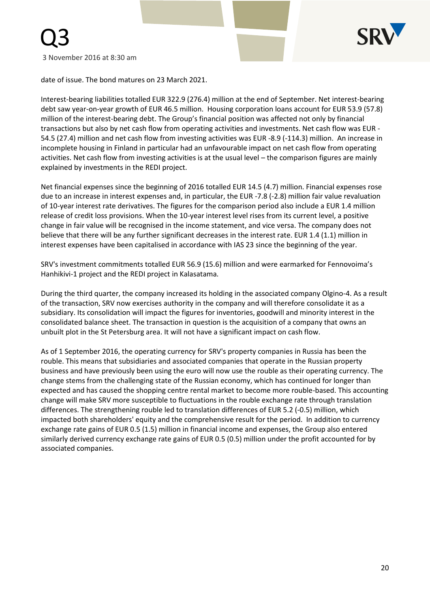

date of issue. The bond matures on 23 March 2021.

Interest-bearing liabilities totalled EUR 322.9 (276.4) million at the end of September. Net interest-bearing debt saw year-on-year growth of EUR 46.5 million. Housing corporation loans account for EUR 53.9 (57.8) million of the interest-bearing debt. The Group's financial position was affected not only by financial transactions but also by net cash flow from operating activities and investments. Net cash flow was EUR - 54.5 (27.4) million and net cash flow from investing activities was EUR -8.9 (-114.3) million. An increase in incomplete housing in Finland in particular had an unfavourable impact on net cash flow from operating activities. Net cash flow from investing activities is at the usual level – the comparison figures are mainly explained by investments in the REDI project.

Net financial expenses since the beginning of 2016 totalled EUR 14.5 (4.7) million. Financial expenses rose due to an increase in interest expenses and, in particular, the EUR -7.8 (-2.8) million fair value revaluation of 10-year interest rate derivatives. The figures for the comparison period also include a EUR 1.4 million release of credit loss provisions. When the 10-year interest level rises from its current level, a positive change in fair value will be recognised in the income statement, and vice versa. The company does not believe that there will be any further significant decreases in the interest rate. EUR 1.4 (1.1) million in interest expenses have been capitalised in accordance with IAS 23 since the beginning of the year.

SRV's investment commitments totalled EUR 56.9 (15.6) million and were earmarked for Fennovoima's Hanhikivi-1 project and the REDI project in Kalasatama.

During the third quarter, the company increased its holding in the associated company Olgino-4. As a result of the transaction, SRV now exercises authority in the company and will therefore consolidate it as a subsidiary. Its consolidation will impact the figures for inventories, goodwill and minority interest in the consolidated balance sheet. The transaction in question is the acquisition of a company that owns an unbuilt plot in the St Petersburg area. It will not have a significant impact on cash flow.

As of 1 September 2016, the operating currency for SRV's property companies in Russia has been the rouble. This means that subsidiaries and associated companies that operate in the Russian property business and have previously been using the euro will now use the rouble as their operating currency. The change stems from the challenging state of the Russian economy, which has continued for longer than expected and has caused the shopping centre rental market to become more rouble-based. This accounting change will make SRV more susceptible to fluctuations in the rouble exchange rate through translation differences. The strengthening rouble led to translation differences of EUR 5.2 (-0.5) million, which impacted both shareholders' equity and the comprehensive result for the period. In addition to currency exchange rate gains of EUR 0.5 (1.5) million in financial income and expenses, the Group also entered similarly derived currency exchange rate gains of EUR 0.5 (0.5) million under the profit accounted for by associated companies.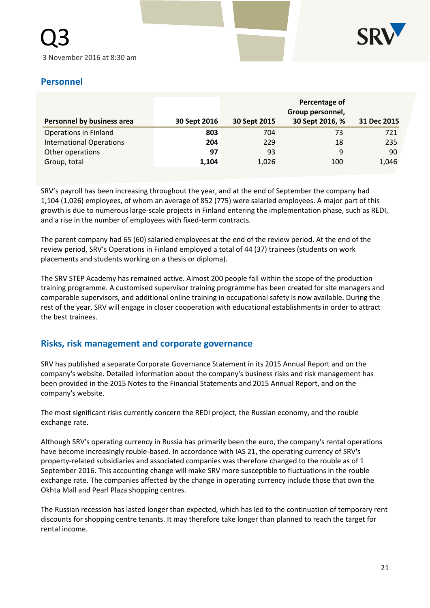

# **Personnel**

| Personnel by business area      | 30 Sept 2016 | 30 Sept 2015 | Percentage of<br>Group personnel,<br>30 Sept 2016, % | 31 Dec 2015 |
|---------------------------------|--------------|--------------|------------------------------------------------------|-------------|
| Operations in Finland           | 803          | 704          | 73                                                   | 721         |
| <b>International Operations</b> | 204          | 229          | 18                                                   | 235         |
| Other operations                | 97           | 93           | 9                                                    | 90          |
| Group, total                    | 1,104        | 1,026        | 100                                                  | 1,046       |

SRV's payroll has been increasing throughout the year, and at the end of September the company had 1,104 (1,026) employees, of whom an average of 852 (775) were salaried employees. A major part of this growth is due to numerous large-scale projects in Finland entering the implementation phase, such as REDI, and a rise in the number of employees with fixed-term contracts.

The parent company had 65 (60) salaried employees at the end of the review period. At the end of the review period, SRV's Operations in Finland employed a total of 44 (37) trainees (students on work placements and students working on a thesis or diploma).

The SRV STEP Academy has remained active. Almost 200 people fall within the scope of the production training programme. A customised supervisor training programme has been created for site managers and comparable supervisors, and additional online training in occupational safety is now available. During the rest of the year, SRV will engage in closer cooperation with educational establishments in order to attract the best trainees.

# **Risks, risk management and corporate governance**

SRV has published a separate Corporate Governance Statement in its 2015 Annual Report and on the company's website. Detailed information about the company's business risks and risk management has been provided in the 2015 Notes to the Financial Statements and 2015 Annual Report, and on the company's website.

The most significant risks currently concern the REDI project, the Russian economy, and the rouble exchange rate.

Although SRV's operating currency in Russia has primarily been the euro, the company's rental operations have become increasingly rouble-based. In accordance with IAS 21, the operating currency of SRV's property-related subsidiaries and associated companies was therefore changed to the rouble as of 1 September 2016. This accounting change will make SRV more susceptible to fluctuations in the rouble exchange rate. The companies affected by the change in operating currency include those that own the Okhta Mall and Pearl Plaza shopping centres.

The Russian recession has lasted longer than expected, which has led to the continuation of temporary rent discounts for shopping centre tenants. It may therefore take longer than planned to reach the target for rental income.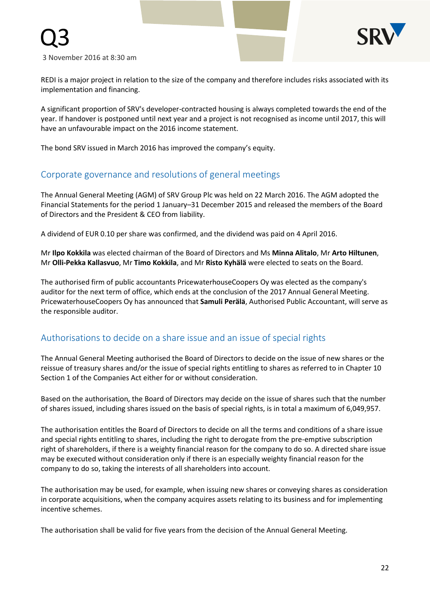

REDI is a major project in relation to the size of the company and therefore includes risks associated with its implementation and financing.

A significant proportion of SRV's developer-contracted housing is always completed towards the end of the year. If handover is postponed until next year and a project is not recognised as income until 2017, this will have an unfavourable impact on the 2016 income statement.

The bond SRV issued in March 2016 has improved the company's equity.

# Corporate governance and resolutions of general meetings

The Annual General Meeting (AGM) of SRV Group Plc was held on 22 March 2016. The AGM adopted the Financial Statements for the period 1 January–31 December 2015 and released the members of the Board of Directors and the President & CEO from liability.

A dividend of EUR 0.10 per share was confirmed, and the dividend was paid on 4 April 2016.

Mr **Ilpo Kokkila** was elected chairman of the Board of Directors and Ms **Minna Alitalo**, Mr **Arto Hiltunen**, Mr **Olli-Pekka Kallasvuo**, Mr **Timo Kokkila**, and Mr **Risto Kyhälä** were elected to seats on the Board.

The authorised firm of public accountants PricewaterhouseCoopers Oy was elected as the company's auditor for the next term of office, which ends at the conclusion of the 2017 Annual General Meeting. PricewaterhouseCoopers Oy has announced that **Samuli Peräla**̈, Authorised Public Accountant, will serve as the responsible auditor.

# Authorisations to decide on a share issue and an issue of special rights

The Annual General Meeting authorised the Board of Directors to decide on the issue of new shares or the reissue of treasury shares and/or the issue of special rights entitling to shares as referred to in Chapter 10 Section 1 of the Companies Act either for or without consideration.

Based on the authorisation, the Board of Directors may decide on the issue of shares such that the number of shares issued, including shares issued on the basis of special rights, is in total a maximum of 6,049,957.

The authorisation entitles the Board of Directors to decide on all the terms and conditions of a share issue and special rights entitling to shares, including the right to derogate from the pre-emptive subscription right of shareholders, if there is a weighty financial reason for the company to do so. A directed share issue may be executed without consideration only if there is an especially weighty financial reason for the company to do so, taking the interests of all shareholders into account.

The authorisation may be used, for example, when issuing new shares or conveying shares as consideration in corporate acquisitions, when the company acquires assets relating to its business and for implementing incentive schemes.

The authorisation shall be valid for five years from the decision of the Annual General Meeting.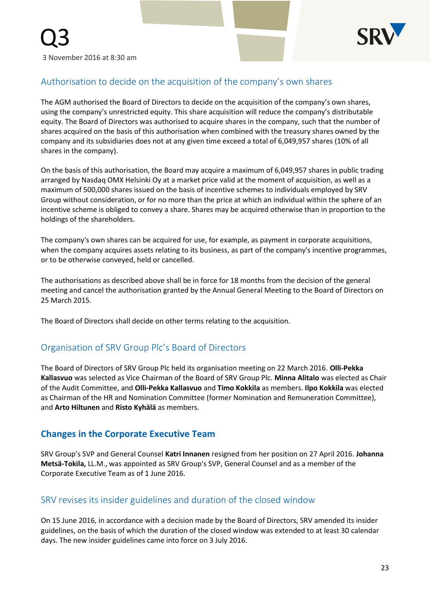

# Authorisation to decide on the acquisition of the company's own shares

The AGM authorised the Board of Directors to decide on the acquisition of the company's own shares, using the company's unrestricted equity. This share acquisition will reduce the company's distributable equity. The Board of Directors was authorised to acquire shares in the company, such that the number of shares acquired on the basis of this authorisation when combined with the treasury shares owned by the company and its subsidiaries does not at any given time exceed a total of 6,049,957 shares (10% of all shares in the company).

On the basis of this authorisation, the Board may acquire a maximum of 6,049,957 shares in public trading arranged by Nasdaq OMX Helsinki Oy at a market price valid at the moment of acquisition, as well as a maximum of 500,000 shares issued on the basis of incentive schemes to individuals employed by SRV Group without consideration, or for no more than the price at which an individual within the sphere of an incentive scheme is obliged to convey a share. Shares may be acquired otherwise than in proportion to the holdings of the shareholders.

The company's own shares can be acquired for use, for example, as payment in corporate acquisitions, when the company acquires assets relating to its business, as part of the company's incentive programmes, or to be otherwise conveyed, held or cancelled.

The authorisations as described above shall be in force for 18 months from the decision of the general meeting and cancel the authorisation granted by the Annual General Meeting to the Board of Directors on 25 March 2015.

The Board of Directors shall decide on other terms relating to the acquisition.

# Organisation of SRV Group Plc's Board of Directors

The Board of Directors of SRV Group Plc held its organisation meeting on 22 March 2016. **Olli-Pekka Kallasvuo** was selected as Vice Chairman of the Board of SRV Group Plc. **Minna Alitalo** was elected as Chair of the Audit Committee, and **Olli-Pekka Kallasvuo** and **Timo Kokkila** as members. **Ilpo Kokkila** was elected as Chairman of the HR and Nomination Committee (former Nomination and Remuneration Committee), and **Arto Hiltunen** and **Risto Kyhälä** as members.

# **Changes in the Corporate Executive Team**

SRV Group's SVP and General Counsel **Katri Innanen** resigned from her position on 27 April 2016. **Johanna Metsä-Tokila,** LL.M., was appointed as SRV Group's SVP, General Counsel and as a member of the Corporate Executive Team as of 1 June 2016.

# SRV revises its insider guidelines and duration of the closed window

On 15 June 2016, in accordance with a decision made by the Board of Directors, SRV amended its insider guidelines, on the basis of which the duration of the closed window was extended to at least 30 calendar days. The new insider guidelines came into force on 3 July 2016.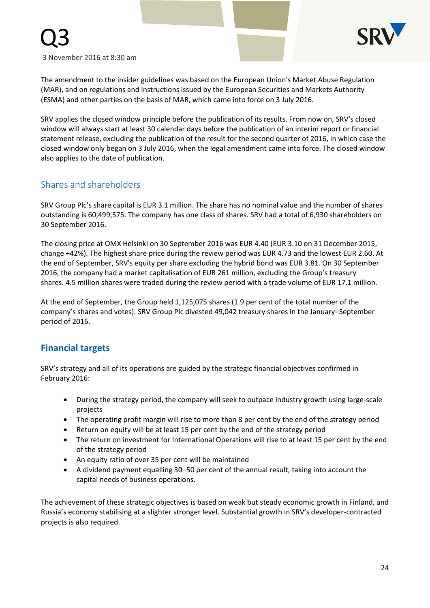

Q3

The amendment to the insider guidelines was based on the European Union's Market Abuse Regulation (MAR), and on regulations and instructions issued by the European Securities and Markets Authority (ESMA) and other parties on the basis of MAR, which came into force on 3 July 2016.

SRV applies the closed window principle before the publication of its results. From now on, SRV's closed window will always start at least 30 calendar days before the publication of an interim report or financial statement release, excluding the publication of the result for the second quarter of 2016, in which case the closed window only began on 3 July 2016, when the legal amendment came into force. The closed window also applies to the date of publication.

# Shares and shareholders

SRV Group Plc's share capital is EUR 3.1 million. The share has no nominal value and the number of shares outstanding is 60,499,575. The company has one class of shares. SRV had a total of 6,930 shareholders on 30 September 2016.

The closing price at OMX Helsinki on 30 September 2016 was EUR 4.40 (EUR 3.10 on 31 December 2015, change +42%). The highest share price during the review period was EUR 4.73 and the lowest EUR 2.60. At the end of September, SRV's equity per share excluding the hybrid bond was EUR 3.81. On 30 September 2016, the company had a market capitalisation of EUR 261 million, excluding the Group's treasury shares. 4.5 million shares were traded during the review period with a trade volume of EUR 17.1 million.

At the end of September, the Group held 1,125,075 shares (1.9 per cent of the total number of the company's shares and votes). SRV Group Plc divested 49,042 treasury shares in the January–September period of 2016.

# **Financial targets**

SRV's strategy and all of its operations are guided by the strategic financial objectives confirmed in February 2016:

- During the strategy period, the company will seek to outpace industry growth using large-scale projects
- The operating profit margin will rise to more than 8 per cent by the end of the strategy period
- Return on equity will be at least 15 per cent by the end of the strategy period
- The return on investment for International Operations will rise to at least 15 per cent by the end of the strategy period
- An equity ratio of over 35 per cent will be maintained
- A dividend payment equalling 30–50 per cent of the annual result, taking into account the capital needs of business operations.

The achievement of these strategic objectives is based on weak but steady economic growth in Finland, and Russia's economy stabilising at a slighter stronger level. Substantial growth in SRV's developer-contracted projects is also required.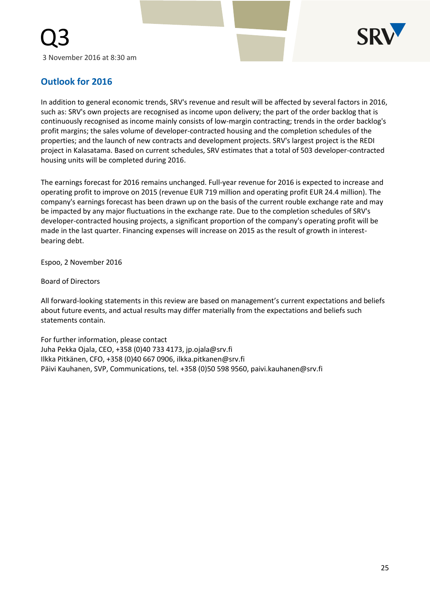

# **Outlook for 2016**

In addition to general economic trends, SRV's revenue and result will be affected by several factors in 2016, such as: SRV's own projects are recognised as income upon delivery; the part of the order backlog that is continuously recognised as income mainly consists of low-margin contracting; trends in the order backlog's profit margins; the sales volume of developer-contracted housing and the completion schedules of the properties; and the launch of new contracts and development projects. SRV's largest project is the REDI project in Kalasatama. Based on current schedules, SRV estimates that a total of 503 developer-contracted housing units will be completed during 2016.

The earnings forecast for 2016 remains unchanged. Full-year revenue for 2016 is expected to increase and operating profit to improve on 2015 (revenue EUR 719 million and operating profit EUR 24.4 million). The company's earnings forecast has been drawn up on the basis of the current rouble exchange rate and may be impacted by any major fluctuations in the exchange rate. Due to the completion schedules of SRV's developer-contracted housing projects, a significant proportion of the company's operating profit will be made in the last quarter. Financing expenses will increase on 2015 as the result of growth in interestbearing debt.

Espoo, 2 November 2016

Board of Directors

All forward-looking statements in this review are based on management's current expectations and beliefs about future events, and actual results may differ materially from the expectations and beliefs such statements contain.

For further information, please contact Juha Pekka Ojala, CEO, +358 (0)40 733 4173, jp.ojala@srv.fi Ilkka Pitkänen, CFO, +358 (0)40 667 0906, ilkka.pitkanen@srv.fi Päivi Kauhanen, SVP, Communications, tel. +358 (0)50 598 9560, paivi.kauhanen@srv.fi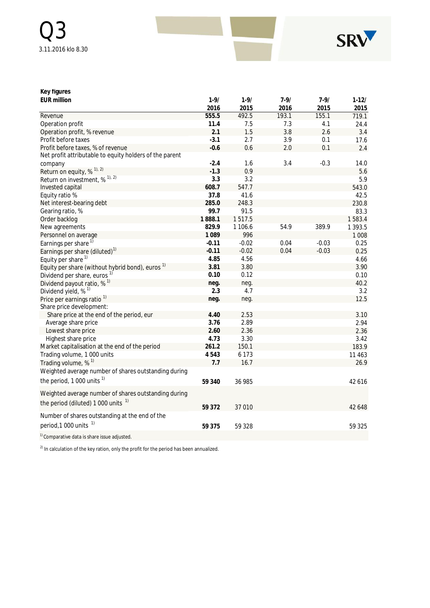

# **Key figures**

| <b>EUR million</b>                                          | $1 - 9/$ | $1 - 9/$ | $7 - 9/$ | $7 - 9/$ | $1 - 12/$ |
|-------------------------------------------------------------|----------|----------|----------|----------|-----------|
|                                                             | 2016     | 2015     | 2016     | 2015     | 2015      |
| Revenue                                                     | 555.5    | 492.5    | 193.1    | 155.1    | 719.1     |
| Operation profit                                            | 11.4     | 7.5      | 7.3      | 4.1      | 24.4      |
| Operation profit, % revenue                                 | 2.1      | 1.5      | 3.8      | 2.6      | 3.4       |
| Profit before taxes                                         | $-3.1$   | 2.7      | 3.9      | 0.1      | 17.6      |
| Profit before taxes, % of revenue                           | $-0.6$   | 0.6      | 2.0      | 0.1      | 2.4       |
| Net profit attributable to equity holders of the parent     |          |          |          |          |           |
| company                                                     | $-2.4$   | 1.6      | 3.4      | $-0.3$   | 14.0      |
| Return on equity, % <sup>1), 2)</sup>                       | $-1.3$   | 0.9      |          |          | 5.6       |
| Return on investment, % <sup>1), 2)</sup>                   | 3.3      | 3.2      |          |          | 5.9       |
| Invested capital                                            | 608.7    | 547.7    |          |          | 543.0     |
| Equity ratio %                                              | 37.8     | 41.6     |          |          | 42.5      |
| Net interest-bearing debt                                   | 285.0    | 248.3    |          |          | 230.8     |
| Gearing ratio, %                                            | 99.7     | 91.5     |          |          | 83.3      |
| Order backlog                                               | 1888.1   | 1517.5   |          |          | 1583.4    |
| New agreements                                              | 829.9    | 1 106.6  | 54.9     | 389.9    | 1 393.5   |
| Personnel on average                                        | 1089     | 996      |          |          | 1 0 0 8   |
| Earnings per share <sup>1)</sup>                            | $-0.11$  | $-0.02$  | 0.04     | $-0.03$  | 0.25      |
| Earnings per share (diluted) <sup>1)</sup>                  | $-0.11$  | $-0.02$  | 0.04     | $-0.03$  | 0.25      |
| Equity per share $1$                                        | 4.85     | 4.56     |          |          | 4.66      |
| Equity per share (without hybrid bond), euros <sup>1)</sup> | 3.81     | 3.80     |          |          | 3.90      |
| Dividend per share, euros <sup>1)</sup>                     | 0.10     | 0.12     |          |          | 0.10      |
| Dividend payout ratio, $%$ <sup>1)</sup>                    | neg.     | neg.     |          |          | 40.2      |
| Dividend yield, % <sup>1)</sup>                             | 2.3      | 4.7      |          |          | 3.2       |
| Price per earnings ratio <sup>1)</sup>                      | neg.     | neg.     |          |          | 12.5      |
| Share price development:                                    |          |          |          |          |           |
| Share price at the end of the period, eur                   | 4.40     | 2.53     |          |          | 3.10      |
| Average share price                                         | 3.76     | 2.89     |          |          | 2.94      |
| Lowest share price                                          | 2.60     | 2.36     |          |          | 2.36      |
| Highest share price                                         | 4.73     | 3.30     |          |          | 3.42      |
| Market capitalisation at the end of the period              | 261.2    | 150.1    |          |          | 183.9     |
| Trading volume, 1 000 units                                 | 4543     | 6 1 7 3  |          |          | 11 4 63   |
| Trading volume, % <sup>1)</sup>                             | 7.7      | 16.7     |          |          | 26.9      |
| Weighted average number of shares outstanding during        |          |          |          |          |           |
| the period, 1 000 units $1$                                 | 59 340   | 36 985   |          |          | 42 616    |
| Weighted average number of shares outstanding during        |          |          |          |          |           |
| the period (diluted) 1 000 units <sup>1)</sup>              | 59 372   | 37 010   |          |          | 42 648    |
| Number of shares outstanding at the end of the              |          |          |          |          |           |
| period, 1 000 units <sup>1)</sup>                           | 59 375   | 59 328   |          |          | 59 325    |
| <sup>1)</sup> Comparative data is share issue adjusted.     |          |          |          |          |           |

 $^{2)}$  In calculation of the key ration, only the profit for the period has been annualized.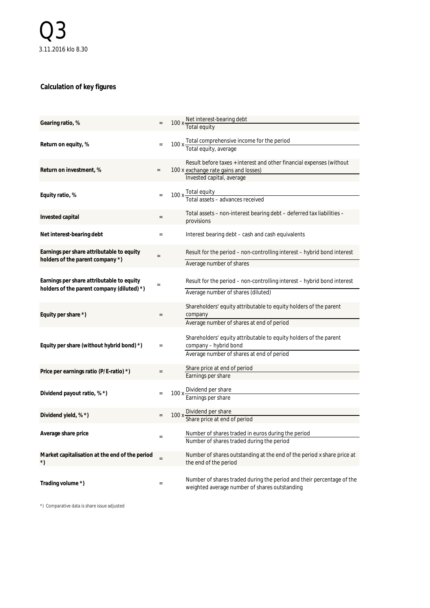# **Calculation of key figures**

| Gearing ratio, %                                                                        |                   | 100 x Net interest-bearing debt                                                                                                            |
|-----------------------------------------------------------------------------------------|-------------------|--------------------------------------------------------------------------------------------------------------------------------------------|
| Return on equity, %                                                                     |                   | 100 x Total comprehensive income for the period<br>Total equity, average                                                                   |
| Return on investment, %                                                                 | $\qquad \qquad =$ | Result before taxes + interest and other financial expenses (without<br>100 x exchange rate gains and losses)<br>Invested capital, average |
| Equity ratio, %                                                                         |                   | 100 x Total equity<br>Total assets - advances received                                                                                     |
| Invested capital                                                                        |                   | Total assets – non-interest bearing debt – deferred tax liabilities –<br>provisions                                                        |
| Net interest-bearing debt                                                               |                   | Interest bearing debt – cash and cash equivalents                                                                                          |
| Earnings per share attributable to equity<br>holders of the parent company *)           |                   | Result for the period – non-controlling interest – hybrid bond interest<br>Average number of shares                                        |
| Earnings per share attributable to equity<br>holders of the parent company (diluted) *) |                   | Result for the period – non-controlling interest – hybrid bond interest<br>Average number of shares (diluted)                              |
| Equity per share *)                                                                     | $=$               | Shareholders' equity attributable to equity holders of the parent<br>company<br>Average number of shares at end of period                  |
| Equity per share (without hybrid bond) *)                                               | $=$               | Shareholders' equity attributable to equity holders of the parent<br>company - hybrid bond<br>Average number of shares at end of period    |
| Price per earnings ratio (P/E-ratio) *)                                                 |                   | Share price at end of period<br>Earnings per share                                                                                         |
| Dividend payout ratio, % *)                                                             |                   | 100 x Dividend per share<br>Earnings per share                                                                                             |
| Dividend yield, % *)                                                                    | $=$               | 100 x Dividend per share<br>Share price at end of period                                                                                   |
| Average share price                                                                     | $=$               | Number of shares traded in euros during the period<br>Number of shares traded during the period                                            |
| Market capitalisation at the end of the period<br>$^{\star})$                           | $=$               | Number of shares outstanding at the end of the period x share price at<br>the end of the period                                            |
| Trading volume *)                                                                       | $=$               | Number of shares traded during the period and their percentage of the<br>weighted average number of shares outstanding                     |

\*) Comparative data is share issue adjusted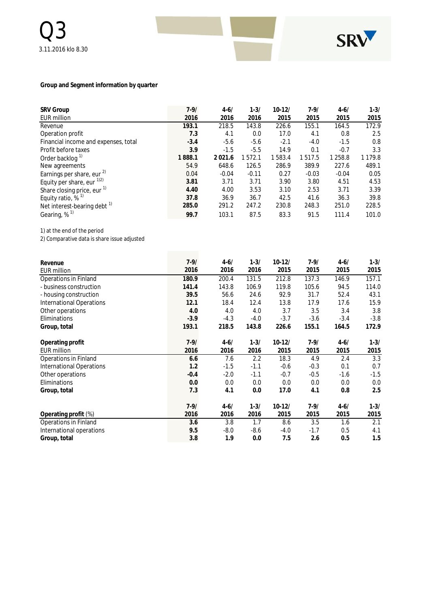

#### **Group and Segment information by quarter**

| <b>SRV Group</b>                        | $7 - 9/$ | $4 - 6/$ | $1 - 3/$ | $10 - 12/$ | $7 - 9/$ | $4 - 6/$ | $1 - 3/$    |
|-----------------------------------------|----------|----------|----------|------------|----------|----------|-------------|
|                                         |          |          |          |            |          |          |             |
| <b>EUR million</b>                      | 2016     | 2016     | 2016     | 2015       | 2015     | 2015     | 2015        |
| Revenue                                 | 193.1    | 218.5    | 143.8    | 226.6      | 155.1    | 164.5    | 172.9       |
| Operation profit                        | 7.3      | 4.1      | 0.0      | 17.0       | 4.1      | 0.8      | 2.5         |
| Financial income and expenses, total    | $-3.4$   | $-5.6$   | $-5.6$   | $-2.1$     | $-4.0$   | $-1.5$   | 0.8         |
| Profit before taxes                     | 3.9      | $-1.5$   | $-5.5$   | 14.9       | 0.1      | $-0.7$   | 3.3         |
| Order backlog <sup>1)</sup>             | 1888.1   | 2021.6   | 1572.1   | 1583.4     | 1517.5   | 1 258.8  | 1 1 7 9 . 8 |
| New agreements                          | 54.9     | 648.6    | 126.5    | 286.9      | 389.9    | 227.6    | 489.1       |
| Earnings per share, eur $^{2)}$         | 0.04     | $-0.04$  | $-0.11$  | 0.27       | $-0.03$  | $-0.04$  | 0.05        |
| Equity per share, eur $^{1/2}$          | 3.81     | 3.71     | 3.71     | 3.90       | 3.80     | 4.51     | 4.53        |
| Share closing price, eur <sup>1)</sup>  | 4.40     | 4.00     | 3.53     | 3.10       | 2.53     | 3.71     | 3.39        |
| Equity ratio, $%$ <sup>1)</sup>         | 37.8     | 36.9     | 36.7     | 42.5       | 41.6     | 36.3     | 39.8        |
| Net interest-bearing debt <sup>17</sup> | 285.0    | 291.2    | 247.2    | 230.8      | 248.3    | 251.0    | 228.5       |
| Gearing, $\%$ <sup>1)</sup>             | 99.7     | 103.1    | 87.5     | 83.3       | 91.5     | 111.4    | 101.0       |

1) at the end of the period

2) Comparative data is share issue adjusted

| Revenue                         | $7 - 9/$ | $4 - 6/$ | $1 - 3/$ | $10 - 12/$ | $7 - 9/$ | $4 - 6/$ | $1 - 3/$ |
|---------------------------------|----------|----------|----------|------------|----------|----------|----------|
| <b>EUR million</b>              | 2016     | 2016     | 2016     | 2015       | 2015     | 2015     | 2015     |
| Operations in Finland           | 180.9    | 200.4    | 131.5    | 212.8      | 137.3    | 146.9    | 157.1    |
| - business construction         | 141.4    | 143.8    | 106.9    | 119.8      | 105.6    | 94.5     | 114.0    |
| - housing construction          | 39.5     | 56.6     | 24.6     | 92.9       | 31.7     | 52.4     | 43.1     |
| <b>International Operations</b> | 12.1     | 18.4     | 12.4     | 13.8       | 17.9     | 17.6     | 15.9     |
| Other operations                | 4.0      | 4.0      | 4.0      | 3.7        | 3.5      | 3.4      | 3.8      |
| Eliminations                    | $-3.9$   | $-4.3$   | $-4.0$   | $-3.7$     | $-3.6$   | $-3.4$   | $-3.8$   |
| Group, total                    | 193.1    | 218.5    | 143.8    | 226.6      | 155.1    | 164.5    | 172.9    |
| Operating profit                | $7 - 9/$ | $4 - 6/$ | $1 - 3/$ | $10-12/$   | $7 - 9/$ | $4 - 6/$ | $1 - 3/$ |
| <b>EUR million</b>              | 2016     | 2016     | 2016     | 2015       | 2015     | 2015     | 2015     |
| Operations in Finland           | 6.6      | 7.6      | 2.2      | 18.3       | 4.9      | 2.4      | 3.3      |
| <b>International Operations</b> | 1.2      | $-1.5$   | $-1.1$   | $-0.6$     | $-0.3$   | 0.1      | 0.7      |
| Other operations                | $-0.4$   | $-2.0$   | $-1.1$   | $-0.7$     | $-0.5$   | $-1.6$   | $-1.5$   |
| Eliminations                    | 0.0      | 0.0      | 0.0      | 0.0        | 0.0      | 0.0      | 0.0      |
| Group, total                    | 7.3      | 4.1      | 0.0      | 17.0       | 4.1      | 0.8      | 2.5      |
|                                 | $7 - 9/$ | $4 - 6/$ | $1 - 3/$ | $10-12/$   | $7 - 9/$ | $4 - 6/$ | $1 - 3/$ |
| Operating profit (%)            | 2016     | 2016     | 2016     | 2015       | 2015     | 2015     | 2015     |
| Operations in Finland           | 3.6      | 3.8      | 1.7      | 8.6        | 3.5      | 1.6      | 2.1      |
| International operations        | 9.5      | $-8.0$   | $-8.6$   | $-4.0$     | $-1.7$   | 0.5      | 4.1      |
| Group, total                    | 3.8      | 1.9      | 0.0      | 7.5        | 2.6      | 0.5      | 1.5      |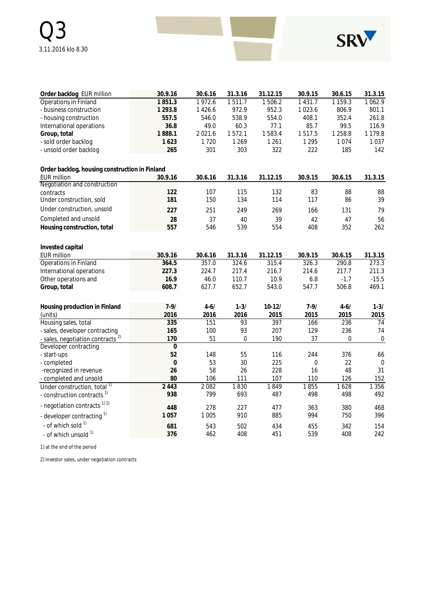

| Order backlog EUR million                      | 30.9.16          | 30.6.16  | 31.3.16          | 31.12.15 | 30.9.15          | 30.6.15     | 31.3.15     |
|------------------------------------------------|------------------|----------|------------------|----------|------------------|-------------|-------------|
| <b>Operations in Finland</b>                   | 1851.3           | 1972.6   | 1511.7           | 1506.2   | 1 4 3 1 . 7      | 1 1 5 9 . 3 | 1062.9      |
| - business construction                        | 1 2 9 3 . 8      | 1426.6   | 972.9            | 952.3    | 1023.6           | 806.9       | 801.1       |
| - housing construction                         | 557.5            | 546.0    | 538.9            | 554.0    | 408.1            | 352.4       | 261.8       |
| International operations                       | 36.8             | 49.0     | 60.3             | 77.1     | 85.7             | 99.5        | 116.9       |
| Group, total                                   | 1888.1           | 2021.6   | 1572.1           | 1583.4   | 1517.5           | 1 2 5 8.8   | 1 1 7 9 . 8 |
| - sold order backlog                           | 1623             | 1720     | 1 2 6 9          | 1 2 6 1  | 1 2 9 5          | 1074        | 1037        |
| - unsold order backlog                         | 265              | 301      | 303              | 322      | 222              | 185         | 142         |
| Order backlog, housing construction in Finland |                  |          |                  |          |                  |             |             |
| <b>EUR million</b>                             | 30.9.16          | 30.6.16  | 31.3.16          | 31.12.15 | 30.9.15          | 30.6.15     | 31.3.15     |
| Negotiation and construction                   |                  |          |                  |          |                  |             |             |
| contracts                                      | 122              | 107      | 115              | 132      | 83               | 88          | 88          |
| Under construction, sold                       | 181              | 150      | 134              | 114      | 117              | 86          | 39          |
| Under construction, unsold                     | 227              | 251      | 249              | 269      | 166              | 131         | 79          |
| Completed and unsold                           | 28               | 37       | 40               | 39       | 42               | 47          | 56          |
| Housing construction, total                    | 557              | 546      | 539              | 554      | 408              | 352         | 262         |
| Invested capital                               |                  |          |                  |          |                  |             |             |
| <b>EUR million</b>                             | 30.9.16          | 30.6.16  | 31.3.16          | 31.12.15 | 30.9.15          | 30.6.15     | 31.3.15     |
| Operations in Finland                          | 364.5            | 357.0    | 324.6            | 315.4    | 326.3            | 290.8       | 273.3       |
| International operations                       | 227.3            | 224.7    | 217.4            | 216.7    | 214.6            | 217.7       | 211.3       |
| Other operations and                           | 16.9             | 46.0     | 110.7            | 10.9     | 6.8              | $-1.7$      | $-15.5$     |
| Group, total                                   | 608.7            | 627.7    | 652.7            | 543.0    | 547.7            | 506.8       | 469.1       |
| Housing production in Finland                  | $7 - 9/$         | $4 - 6/$ | $1 - 3/$         | $10-12/$ | $7 - 9/$         | $4 - 6/$    | $1 - 3/$    |
| (units)                                        | 2016             | 2016     | 2016             | 2015     | 2015             | 2015        | 2015        |
| Housing sales, total                           | 335              | 151      | 93               | 397      | 166              | 236         | 74          |
| - sales, developer contracting                 | 165              | 100      | 93               | 207      | 129              | 236         | 74          |
| - sales, negotiation contracts <sup>2)</sup>   | 170              | 51       | $\boldsymbol{0}$ | 190      | 37               | 0           | $\pmb{0}$   |
| Developer contracting                          | $\overline{0}$   |          |                  |          |                  |             |             |
| - start-ups                                    | 52               | 148      | 55               | 116      | 244              | 376         | 66          |
| - completed                                    | $\boldsymbol{0}$ | 53       | 30               | 225      | $\boldsymbol{0}$ | 22          | $\mathbf 0$ |
| -recognized in revenue                         | 26               | 58       | 26               | 228      | 16               | 48          | 31          |
| - completed and unsold                         | 80               | 106      | 111              | 107      | 110              | 126         | 152         |
| Under construction, total <sup>1)</sup>        | 2 4 4 3          | 2082     | 1830             | 1849     | 1855             | 1628        | 1 3 5 6     |
| - construction contracts <sup>1)</sup>         | 938              | 799      | 693              | 487      | 498              | 498         | 492         |
| - negotiation contracts <sup>1) 2)</sup>       | 448              | 278      | 227              | 477      | 363              | 380         | 468         |
| - developer contracting 1)                     | 1057             | 1 0 0 5  | 910              | 885      | 994              | 750         | 396         |
| - of which sold 1)                             | 681              | 543      | 502              | 434      | 455              | 342         | 154         |
| - of which unsold 1)                           | 376              | 462      | 408              | 451      | 539              | 408         | 242         |

1) at the end of the period

2) investor sales, under negotiation contracts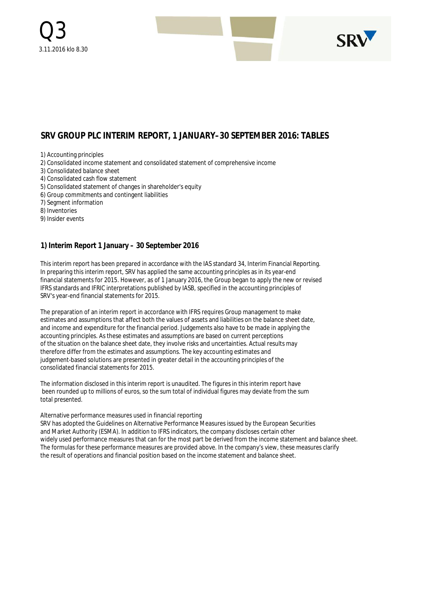

# **SRV GROUP PLC INTERIM REPORT, 1 JANUARY–30 SEPTEMBER 2016: TABLES**

1) Accounting principles

2) Consolidated income statement and consolidated statement of comprehensive income

- 3) Consolidated balance sheet
- 4) Consolidated cash flow statement
- 5) Consolidated statement of changes in shareholder's equity
- 6) Group commitments and contingent liabilities

7) Segment information

8) Inventories

9) Insider events

#### **1) Interim Report 1 January – 30 September 2016**

This interim report has been prepared in accordance with the IAS standard 34, Interim Financial Reporting. In preparing this interim report, SRV has applied the same accounting principles as in its year-end financial statements for 2015. However, as of 1 January 2016, the Group began to apply the new or revised IFRS standards and IFRIC interpretations published by IASB, specified in the accounting principles of SRV's year-end financial statements for 2015.

The preparation of an interim report in accordance with IFRS requires Group management to make estimates and assumptions that affect both the values of assets and liabilities on the balance sheet date, and income and expenditure for the financial period. Judgements also have to be made in applying the accounting principles. As these estimates and assumptions are based on current perceptions of the situation on the balance sheet date, they involve risks and uncertainties. Actual results may therefore differ from the estimates and assumptions. The key accounting estimates and judgement-based solutions are presented in greater detail in the accounting principles of the consolidated financial statements for 2015.

The information disclosed in this interim report is unaudited. The figures in this interim report have been rounded up to millions of euros, so the sum total of individual figures may deviate from the sum total presented.

#### Alternative performance measures used in financial reporting

SRV has adopted the Guidelines on Alternative Performance Measures issued by the European Securities and Market Authority (ESMA). In addition to IFRS indicators, the company discloses certain other widely used performance measures that can for the most part be derived from the income statement and balance sheet. The formulas for these performance measures are provided above. In the company's view, these measures clarify the result of operations and financial position based on the income statement and balance sheet.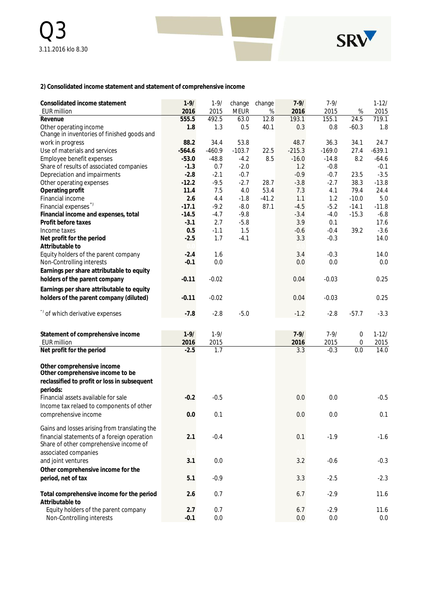

**2) Consolidated income statement and statement of comprehensive income**

| Consolidated income statement                                         | $1 - 9/$ | $1 - 9/$ | change      | change  | $7 - 9/$ | $7 - 9/$ |         | $1-12/$   |
|-----------------------------------------------------------------------|----------|----------|-------------|---------|----------|----------|---------|-----------|
| <b>EUR million</b>                                                    | 2016     | 2015     | <b>MEUR</b> | $\%$    | 2016     | 2015     | $\%$    | 2015      |
| Revenue                                                               | 555.5    | 492.5    | 63.0        | 12.8    | 193.1    | 155.1    | 24.5    | 719.1     |
| Other operating income<br>Change in inventories of finished goods and | 1.8      | 1.3      | 0.5         | 40.1    | 0.3      | 0.8      | $-60.3$ | 1.8       |
| work in progress                                                      | 88.2     | 34.4     | 53.8        |         | 48.7     | 36.3     | 34.1    | 24.7      |
| Use of materials and services                                         | $-564.6$ | $-460.9$ | $-103.7$    | 22.5    | $-215.3$ | $-169.0$ | 27.4    | $-639.1$  |
| Employee benefit expenses                                             | $-53.0$  | $-48.8$  | $-4.2$      | 8.5     | $-16.0$  | $-14.8$  | 8.2     | $-64.6$   |
| Share of results of associated companies                              | $-1.3$   | 0.7      | $-2.0$      |         | 1.2      | $-0.8$   |         | $-0.1$    |
| Depreciation and impairments                                          | $-2.8$   | $-2.1$   | $-0.7$      |         | $-0.9$   | $-0.7$   | 23.5    | $-3.5$    |
| Other operating expenses                                              | $-12.2$  | $-9.5$   | $-2.7$      | 28.7    | $-3.8$   | $-2.7$   | 38.3    | $-13.8$   |
| Operating profit                                                      | 11.4     | 7.5      | 4.0         | 53.4    | 7.3      | 4.1      | 79.4    | 24.4      |
| Financial income                                                      | 2.6      | 4.4      | $-1.8$      | $-41.2$ | 1.1      | 1.2      | $-10.0$ | 5.0       |
| Financial expenses <sup>"</sup>                                       | $-17.1$  | $-9.2$   | $-8.0$      | 87.1    | $-4.5$   | $-5.2$   | $-14.1$ | $-11.8$   |
| Financial income and expenses, total                                  | $-14.5$  | $-4.7$   | $-9.8$      |         | $-3.4$   | $-4.0$   | $-15.3$ | $-6.8$    |
| Profit before taxes                                                   | $-3.1$   | 2.7      | $-5.8$      |         | 3.9      | 0.1      |         | 17.6      |
| Income taxes                                                          | 0.5      | $-1.1$   | 1.5         |         | $-0.6$   | $-0.4$   | 39.2    | $-3.6$    |
| Net profit for the period                                             | $-2.5$   | 1.7      | $-4.1$      |         | 3.3      | $-0.3$   |         | 14.0      |
| Attributable to                                                       |          |          |             |         |          |          |         |           |
| Equity holders of the parent company                                  | $-2.4$   | 1.6      |             |         | 3.4      | $-0.3$   |         | 14.0      |
| Non-Controlling interests                                             | $-0.1$   | 0.0      |             |         | 0.0      | 0.0      |         | 0.0       |
| Earnings per share attributable to equity                             |          |          |             |         |          |          |         |           |
| holders of the parent company                                         | $-0.11$  | $-0.02$  |             |         | 0.04     | $-0.03$  |         | 0.25      |
| Earnings per share attributable to equity                             |          |          |             |         |          |          |         |           |
| holders of the parent company (diluted)                               | $-0.11$  | $-0.02$  |             |         | 0.04     | $-0.03$  |         | 0.25      |
|                                                                       |          |          |             |         |          |          |         |           |
| *) of which derivative expenses                                       | $-7.8$   | $-2.8$   | $-5.0$      |         | $-1.2$   | $-2.8$   | $-57.7$ | $-3.3$    |
|                                                                       |          |          |             |         |          |          |         |           |
| Statement of comprehensive income                                     | $1 - 9/$ | $1 - 9/$ |             |         | $7 - 9/$ | $7 - 9/$ | 0       | $1 - 12/$ |
| <b>EUR million</b>                                                    | 2016     | 2015     |             |         | 2016     | 2015     | 0       | 2015      |
| Net profit for the period                                             | $-2.5$   | 1.7      |             |         | 3.3      | $-0.3$   | 0.0     | 14.0      |
|                                                                       |          |          |             |         |          |          |         |           |
| Other comprehensive income                                            |          |          |             |         |          |          |         |           |
| Other comprehensive income to be                                      |          |          |             |         |          |          |         |           |
| reclassified to profit or loss in subsequent                          |          |          |             |         |          |          |         |           |
| periods:                                                              |          |          |             |         |          |          |         |           |
| Financial assets available for sale                                   | $-0.2$   | $-0.5$   |             |         | 0.0      | 0.0      |         | $-0.5$    |
| Income tax relaed to components of other                              |          |          |             |         |          |          |         |           |
| comprehensive income                                                  | 0.0      | 0.1      |             |         | 0.0      | 0.0      |         | 0.1       |
| Gains and losses arising from translating the                         |          |          |             |         |          |          |         |           |
| financial statements of a foreign operation                           | 2.1      | $-0.4$   |             |         | 0.1      | $-1.9$   |         | $-1.6$    |
| Share of other comprehensive income of                                |          |          |             |         |          |          |         |           |
| associated companies                                                  |          |          |             |         |          |          |         |           |
| and joint ventures                                                    | 3.1      | 0.0      |             |         | 3.2      | $-0.6$   |         | $-0.3$    |
| Other comprehensive income for the                                    |          |          |             |         |          |          |         |           |
| period, net of tax                                                    | 5.1      | $-0.9$   |             |         | 3.3      | $-2.5$   |         | $-2.3$    |
|                                                                       |          |          |             |         |          |          |         |           |
| Total comprehensive income for the period                             | 2.6      | 0.7      |             |         | 6.7      | $-2.9$   |         | 11.6      |
| Attributable to                                                       |          |          |             |         |          |          |         |           |
| Equity holders of the parent company                                  | 2.7      | 0.7      |             |         | 6.7      | $-2.9$   |         | 11.6      |
| Non-Controlling interests                                             | $-0.1$   | 0.0      |             |         | $0.0\,$  | $0.0\,$  |         | 0.0       |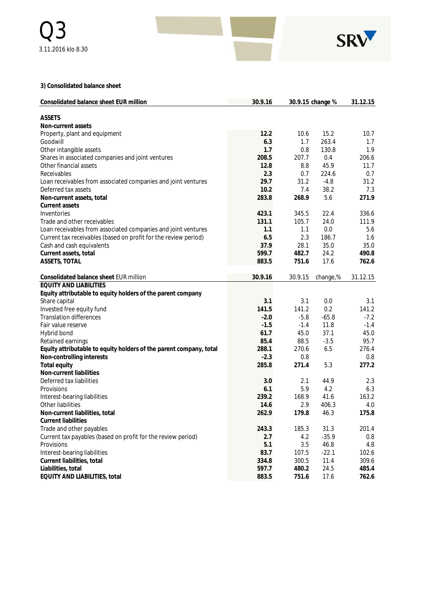

**3) Consolidated balance sheet**

| Consolidated balance sheet EUR million                             | 30.9.16 |         | 30.9.15 change % | 31.12.15 |
|--------------------------------------------------------------------|---------|---------|------------------|----------|
| <b>ASSETS</b>                                                      |         |         |                  |          |
| Non-current assets                                                 |         |         |                  |          |
| Property, plant and equipment                                      | 12.2    | 10.6    | 15.2             | 10.7     |
| Goodwill                                                           | 6.3     | 1.7     | 263.4            | 1.7      |
| Other intangible assets                                            | 1.7     | 0.8     | 130.8            | 1.9      |
| Shares in associated companies and joint ventures                  | 208.5   | 207.7   | 0.4              | 206.6    |
| Other financial assets                                             | 12.8    | 8.8     | 45.9             | 11.7     |
| Receivables                                                        | 2.3     | 0.7     | 224.6            | 0.7      |
| Loan receivables from associated companies and joint ventures      | 29.7    | 31.2    | $-4.8$           | 31.2     |
| Deferred tax assets                                                | 10.2    | 7.4     | 38.2             | 7.3      |
| Non-current assets, total                                          | 283.8   | 268.9   | 5.6              | 271.9    |
| Current assets                                                     |         |         |                  |          |
| Inventories                                                        | 423.1   | 345.5   | 22.4             | 336.6    |
| Trade and other receivables                                        | 131.1   | 105.7   | 24.0             | 111.9    |
| Loan receivables from associated companies and joint ventures      | 1.1     | 1.1     | 0.0              | 5.6      |
| Current tax receivables (based on profit for the review period)    | 6.5     | 2.3     | 186.7            | 1.6      |
| Cash and cash equivalents                                          | 37.9    | 28.1    | 35.0             | 35.0     |
| Current assets, total                                              | 599.7   | 482.7   | 24.2             | 490.8    |
| ASSETS, TOTAL                                                      | 883.5   | 751.6   | 17.6             | 762.6    |
|                                                                    |         |         |                  |          |
| Consolidated balance sheet EUR million                             | 30.9.16 | 30.9.15 | change,%         | 31.12.15 |
| <b>EQUITY AND LIABILITIES</b>                                      |         |         |                  |          |
| Equity attributable to equity holders of the parent company        |         |         |                  |          |
| Share capital                                                      | 3.1     | 3.1     | 0.0              | 3.1      |
| Invested free equity fund                                          | 141.5   | 141.2   | 0.2              | 141.2    |
| <b>Translation differences</b>                                     | $-2.0$  | $-5.8$  | $-65.8$          | $-7.2$   |
| Fair value reserve                                                 | $-1.5$  | $-1.4$  | 11.8             | $-1.4$   |
| Hybrid bond                                                        | 61.7    | 45.0    | 37.1             | 45.0     |
| Retained earnings                                                  | 85.4    | 88.5    | $-3.5$           | 95.7     |
| Equity attributable to equity holders of the parent company, total | 288.1   | 270.6   | 6.5              | 276.4    |
| Non-controlling interests                                          | $-2.3$  | 0.8     |                  | 0.8      |
| Total equity                                                       | 285.8   | 271.4   | 5.3              | 277.2    |
| Non-current liabilities                                            |         |         |                  |          |
| Deferred tax liabilities                                           | 3.0     | 2.1     | 44.9             | 2.3      |
| Provisions                                                         | 6.1     | 5.9     | 4.2              | 6.3      |
| Interest-bearing liabilities                                       | 239.2   | 168.9   | 41.6             | 163.2    |
| Other liabilities                                                  | 14.6    | 2.9     | 406.3            | 4.0      |
| Non-current liabilities, total                                     | 262.9   | 179.8   | 46.3             | 175.8    |
| <b>Current liabilities</b>                                         |         |         |                  |          |
| Trade and other payables                                           | 243.3   | 185.3   | 31.3             | 201.4    |
| Current tax payables (based on profit for the review period)       | 2.7     | 4.2     | $-35.9$          | 0.8      |
| Provisions                                                         | 5.1     | 3.5     | 46.8             | 4.8      |
| Interest-bearing liabilities                                       | 83.7    | 107.5   | $-22.1$          | 102.6    |
| Current liabilities, total                                         | 334.8   | 300.5   | 11.4             | 309.6    |
| Liabilities, total                                                 | 597.7   | 480.2   | 24.5             | 485.4    |
| EQUITY AND LIABILITIES, total                                      | 883.5   | 751.6   | 17.6             | 762.6    |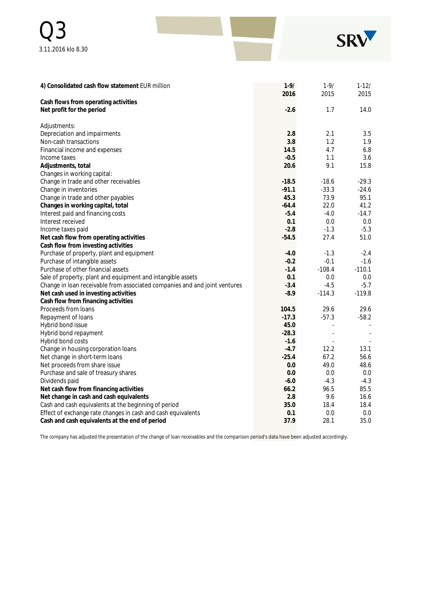| Q <sub>3</sub>     |  | SRV |
|--------------------|--|-----|
| 3.11.2016 klo 8.30 |  |     |

| 4) Consolidated cash flow statement EUR million                              | $1 - 9/$<br>2016 | $1 - 9/$<br>2015 | $1 - 12/$<br>2015 |
|------------------------------------------------------------------------------|------------------|------------------|-------------------|
| Cash flows from operating activities                                         |                  |                  |                   |
| Net profit for the period                                                    | $-2.6$           | 1.7              | 14.0              |
| Adjustments:                                                                 |                  |                  |                   |
| Depreciation and impairments                                                 | 2.8              | 2.1              | 3.5               |
| Non-cash transactions                                                        | 3.8              | 1.2              | 1.9               |
| Financial income and expenses                                                | 14.5             | 4.7              | 6.8               |
| Income taxes                                                                 | $-0.5$           | 1.1              | 3.6               |
| Adjustments, total                                                           | 20.6             | 9.1              | 15.8              |
| Changes in working capital:                                                  |                  |                  |                   |
| Change in trade and other receivables                                        | $-18.5$          | $-18.6$          | $-29.3$           |
| Change in inventories                                                        | $-91.1$          | $-33.3$          | $-24.6$           |
| Change in trade and other payables                                           | 45.3             | 73.9             | 95.1              |
| Changes in working capital, total                                            | $-64.4$          | 22.0             | 41.2              |
| Interest paid and financing costs                                            | $-5.4$           | $-4.0$           | $-14.7$           |
| Interest received                                                            | 0.1              | 0.0              | 0.0               |
| Income taxes paid                                                            | $-2.8$           | $-1.3$           | $-5.3$            |
| Net cash flow from operating activities                                      | $-54.5$          | 27.4             | 51.0              |
| Cash flow from investing activities                                          |                  |                  |                   |
| Purchase of property, plant and equipment                                    | $-4.0$           | $-1.3$           | $-2.4$            |
| Purchase of intangible assets                                                | $-0.2$           | $-0.1$           | $-1.6$            |
| Purchase of other financial assets                                           | $-1.4$           | $-108.4$         | $-110.1$          |
| Sale of property, plant and equipment and intangible assets                  | 0.1              | 0.0              | 0.0               |
| Change in loan receivable from associated companies and and joint ventures   | $-3.4$           | $-4.5$           | $-5.7$            |
| Net cash used in investing activities<br>Cash flow from financing activities | $-8.9$           | $-114.3$         | $-119.8$          |
| Proceeds from loans                                                          | 104.5            | 29.6             | 29.6              |
| Repayment of loans                                                           | $-17.3$          | $-57.3$          | $-58.2$           |
| Hybrid bond issue                                                            | 45.0             | ä,               |                   |
| Hybrid bond repayment                                                        | $-28.3$          |                  |                   |
| Hybrid bond costs                                                            | $-1.6$           |                  |                   |
| Change in housing corporation loans                                          | $-4.7$           | 12.2             | 13.1              |
| Net change in short-term loans                                               | $-25.4$          | 67.2             | 56.6              |
| Net proceeds from share issue                                                | 0.0              | 49.0             | 48.6              |
| Purchase and sale of treasury shares                                         | 0.0              | 0.0              | 0.0               |
| Dividends paid                                                               | $-6.0$           | $-4.3$           | $-4.3$            |
| Net cash flow from financing activities                                      | 66.2             | 96.5             | 85.5              |
| Net change in cash and cash equivalents                                      | 2.8              | 9.6              | 16.6              |
| Cash and cash equivalents at the beginning of period                         | 35.0             | 18.4             | 18.4              |
| Effect of exchange rate changes in cash and cash equivalents                 | 0.1              | 0.0              | 0.0               |
| Cash and cash equivalents at the end of period                               | 37.9             | 28.1             | 35.0              |

The company has adjusted the presentation of the change of loan receivables and the comparison period's data have been adjusted accordingly.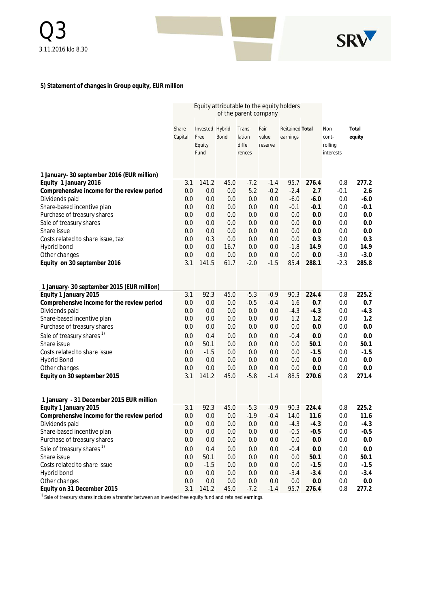

# **5) Statement of changes in Group equity, EUR million**

|                                            | Equity attributable to the equity holders<br>of the parent company |                 |            |               |                   |                        |                  |            |               |
|--------------------------------------------|--------------------------------------------------------------------|-----------------|------------|---------------|-------------------|------------------------|------------------|------------|---------------|
|                                            | Share                                                              | Invested Hybrid |            | Trans-        | Fair              | <b>Reitained Total</b> |                  | Non-       | Total         |
|                                            | Capital                                                            | Free            | Bond       | lation        | value             | earnings               |                  | cont-      | equity        |
|                                            |                                                                    | Equity          |            | diffe         | reserve           |                        |                  | rolling    |               |
|                                            |                                                                    | Fund            |            | rences        |                   |                        |                  | interests  |               |
| 1 January- 30 september 2016 (EUR million) |                                                                    |                 |            |               |                   |                        |                  |            |               |
| Equity 1 January 2016                      | 3.1                                                                | 141.2           | 45.0       | $-7.2$        | $-1.4$            | 95.7                   | 276.4            | 0.8        | 277.2         |
| Comprehensive income for the review period | 0.0                                                                | 0.0             | 0.0        | 5.2           | $-0.2$            | $-2.4$                 | 2.7              | $-0.1$     | 2.6           |
| Dividends paid                             | 0.0                                                                | 0.0             | 0.0        | 0.0           | 0.0               | $-6.0$                 | $-6.0$           | 0.0        | $-6.0$        |
| Share-based incentive plan                 | 0.0                                                                | 0.0             | 0.0        | 0.0           | 0.0               | $-0.1$                 | $-0.1$           | 0.0        | $-0.1$        |
| Purchase of treasury shares                | 0.0                                                                | 0.0             | 0.0        | 0.0           | 0.0               | 0.0                    | 0.0              | 0.0        | 0.0           |
| Sale of treasury shares<br>Share issue     | 0.0<br>0.0                                                         | 0.0             | 0.0<br>0.0 | 0.0<br>0.0    | 0.0<br>0.0        | 0.0                    | 0.0              | 0.0<br>0.0 | 0.0<br>0.0    |
| Costs related to share issue, tax          | 0.0                                                                | 0.0<br>0.3      | 0.0        | 0.0           | 0.0               | 0.0<br>0.0             | 0.0<br>0.3       | 0.0        | 0.3           |
| Hybrid bond                                | 0.0                                                                | 0.0             | 16.7       | 0.0           | 0.0               | $-1.8$                 | 14.9             | 0.0        | 14.9          |
| Other changes                              | 0.0                                                                | 0.0             | 0.0        | 0.0           | 0.0               | 0.0                    | 0.0              | $-3.0$     | $-3.0$        |
| Equity on 30 september 2016                | 3.1                                                                | 141.5           | 61.7       | $-2.0$        | $-1.5$            | 85.4                   | 288.1            | $-2.3$     | 285.8         |
|                                            |                                                                    |                 |            |               |                   |                        |                  |            |               |
| 1 January- 30 september 2015 (EUR million) |                                                                    |                 |            |               |                   |                        |                  |            |               |
| Equity 1 January 2015                      | 3.1                                                                | 92.3            | 45.0       | $-5.3$        | $-0.9$            | 90.3                   | 224.4            | 0.8        | 225.2         |
| Comprehensive income for the review period | 0.0                                                                | 0.0             | 0.0        | $-0.5$        | $-0.4$            | 1.6                    | 0.7              | 0.0        | 0.7           |
| Dividends paid                             | 0.0                                                                | 0.0             | 0.0        | 0.0           | 0.0               | $-4.3$                 | $-4.3$           | 0.0        | $-4.3$        |
| Share-based incentive plan                 | 0.0                                                                | 0.0             | 0.0        | 0.0           | 0.0               | 1.2                    | 1.2              | 0.0        | 1.2           |
| Purchase of treasury shares                | 0.0                                                                | 0.0             | 0.0        | 0.0           | 0.0               | 0.0                    | 0.0              | 0.0        | 0.0           |
| Sale of treasury shares <sup>1)</sup>      | 0.0                                                                | 0.4             | 0.0        | 0.0           | 0.0               | $-0.4$                 | 0.0              | 0.0        | 0.0           |
| Share issue                                | 0.0                                                                | 50.1            | 0.0        | 0.0           | 0.0               | 0.0                    | 50.1             | 0.0        | 50.1          |
| Costs related to share issue               | 0.0                                                                | $-1.5$          | 0.0        | 0.0           | 0.0               | 0.0                    | $-1.5$           | 0.0        | $-1.5$        |
| <b>Hybrid Bond</b>                         | 0.0                                                                | 0.0             | 0.0        | 0.0           | 0.0               | 0.0                    | 0.0              | 0.0        | 0.0           |
| Other changes                              | 0.0                                                                | 0.0             | 0.0        | 0.0           | 0.0               | 0.0                    | 0.0              | 0.0        | 0.0           |
| Equity on 30 september 2015                | 3.1                                                                | 141.2           | 45.0       | $-5.8$        | $-1.4$            | 88.5                   | 270.6            | 0.8        | 271.4         |
| 1 January - 31 December 2015 EUR million   |                                                                    |                 |            |               |                   |                        |                  |            |               |
| Equity 1 January 2015                      | 3.1                                                                | 92.3            | 45.0       | $-5.3$        | $-0.9$            | 90.3                   | 224.4            | 0.8        | 225.2         |
| Comprehensive income for the review period | 0.0                                                                | 0.0             | 0.0        | $-1.9$        | $-0.4$            | 14.0                   | 11.6             | 0.0        | 11.6          |
| Dividends paid                             | 0.0                                                                | 0.0             | 0.0        | 0.0           | 0.0               | $-4.3$                 | $-4.3$           | 0.0        | $-4.3$        |
| Share-based incentive plan                 | 0.0                                                                | $0.0\,$         | 0.0        | 0.0           | 0.0               | $-0.5$                 | $-0.5$           | 0.0        | $-0.5$        |
| Purchase of treasury shares                | 0.0                                                                | 0.0             | $0.0\,$    | 0.0           | $0.0\,$           | $0.0\,$                | 0.0              | 0.0        | 0.0           |
| Sale of treasury shares <sup>1)</sup>      | 0.0                                                                | 0.4             | $0.0\,$    | 0.0           | 0.0               | $-0.4$                 | 0.0              | 0.0        | 0.0           |
| Share issue                                | 0.0                                                                | 50.1            | $0.0\,$    | 0.0           | 0.0               | $0.0\,$                | 50.1             | 0.0        | 50.1          |
| Costs related to share issue               | 0.0                                                                | $-1.5$          | 0.0        | 0.0           | 0.0               | $0.0\,$                | $-1.5$           | 0.0        | $-1.5$        |
| Hybrid bond<br>Other changes               | 0.0<br>0.0                                                         | $0.0\,$<br>0.0  | 0.0<br>0.0 | 0.0           | 0.0               | $-3.4$                 | $-3.4$           | 0.0<br>0.0 | $-3.4$<br>0.0 |
| Equity on 31 December 2015                 | 3.1                                                                | 141.2           | 45.0       | 0.0<br>$-7.2$ | $0.0\,$<br>$-1.4$ | $0.0\,$<br>95.7        | $0.0\,$<br>276.4 | 0.8        | 277.2         |
|                                            |                                                                    |                 |            |               |                   |                        |                  |            |               |

<sup>1)</sup> Sale of treasury shares includes a transfer between an invested free equity fund and retained earnings.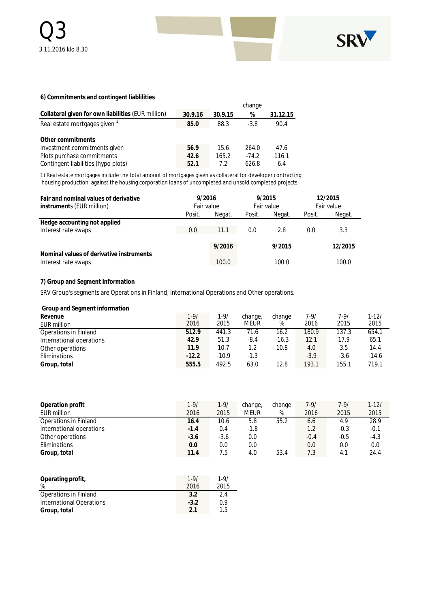

#### **6) Commitments and contingent liablilities**

|                                                    |         |         | change  |          |
|----------------------------------------------------|---------|---------|---------|----------|
| Collateral given for own liabilities (EUR million) | 30.9.16 | 30.9.15 | %       | 31.12.15 |
| Real estate mortgages given <sup>1)</sup>          | 85.0    | 88.3    | $-3.8$  | 90.4     |
| Other commitments                                  |         |         |         |          |
| Investment commitments given                       | 56.9    | 15.6    | 264.0   | 47.6     |
| Plots purchase commitments                         | 42.6    | 165.2   | $-74.2$ | 116.1    |
| Contingent liabilities (hypo plots)                | 52.1    | 7.2     | 626.8   | 6.4      |

1) Real estate mortgages include the total amount of mortgages given as collateral for developer contracting housing production against the housing corporation loans of uncompleted and unsold completed projects.

| 9/2016<br>Fair and nominal values of derivative<br>Fair value<br>instruments (EUR million) |        |        |        | 9/2015<br>Fair value |        | 12/2015<br>Fair value |
|--------------------------------------------------------------------------------------------|--------|--------|--------|----------------------|--------|-----------------------|
|                                                                                            | Posit. | Negat. | Posit. | Negat.               | Posit. | Negat.                |
| Hedge accounting not applied                                                               |        |        |        |                      |        |                       |
| Interest rate swaps                                                                        | 0.0    | 11.1   | 0.0    | 2.8                  | 0.0    | 3.3                   |
|                                                                                            |        | 9/2016 |        | 9/2015               |        | 12/2015               |
| Nominal values of derivative instruments<br>Interest rate swaps                            |        | 100.0  |        | 100.0                |        | 100.0                 |

#### **7) Group and Segment Information**

SRV Group's segments are Operations in Finland, International Operations and Other operations.

| Group and Segment information |          |          |         |         |        |        |           |
|-------------------------------|----------|----------|---------|---------|--------|--------|-----------|
| Revenue                       | $1 - 9/$ | $1 - 9/$ | change, | change  | 7-9/   | 7-9/   | $1 - 12/$ |
| EUR million                   | 2016     | 2015     | meur    | %       | 2016   | 2015   | 2015      |
| Operations in Finland         | 512.9    | 441.3    | 71.6    | 16.2    | 180.9  | 137.3  | 654.1     |
| International operations      | 42.9     | 51.3     | -8.4    | $-16.3$ | 12.1   | 17.9   | 65.1      |
| Other operations              | 11.9     | 10.7     | 1.2     | 10.8    | 4.0    | 3.5    | 14.4      |
| Eliminations                  | $-12.2$  | $-10.9$  | $-1.3$  |         | $-3.9$ | $-3.6$ | $-14.6$   |
| Group, total                  | 555.5    | 492.5    | 63.0    | 12.8    | 193.1  | 155.1  | 719.1     |

| Operation profit         | 1-9/   | 1-9/   | change, | change | 7-9/          | 7-9/   | $1 - 12/$ |
|--------------------------|--------|--------|---------|--------|---------------|--------|-----------|
| EUR million              | 2016   | 2015   | meur    | %      | 2016          | 2015   | 2015      |
| Operations in Finland    | 16.4   | 10.6   | 5.8     | 55.2   | 6.6           | 4.9    | 28.9      |
| International operations | $-1.4$ | 0.4    | $-1.8$  |        | $1.2^{\circ}$ | $-0.3$ | $-0.1$    |
| Other operations         | $-3.6$ | $-3.6$ | 0.0     |        | $-0.4$        | $-0.5$ | $-4.3$    |
| Eliminations             | 0.0    | 0.0    | 0.0     |        | 0.0           | 0.0    | 0.0       |
| Group, total             | 11.4   | 7.5    | 4.0     | 53.4   | 7.3           | 4.1    | 24.4      |

| Operating profit,        | $1 - 9/$ | $1 - 9/$ |
|--------------------------|----------|----------|
| %                        | 2016     | 2015     |
| Operations in Finland    | 3.2      | 2.4      |
| International Operations | $-3.2$   | 0.9      |
| Group, total             | 21       | 1.5      |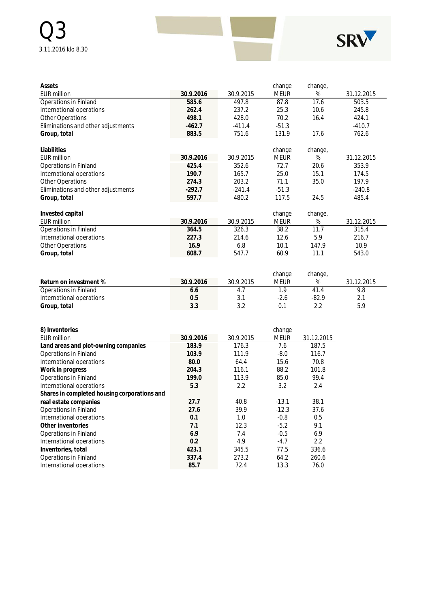

| Assets                             |           |           | change      | change, |            |
|------------------------------------|-----------|-----------|-------------|---------|------------|
| <b>EUR million</b>                 | 30.9.2016 | 30.9.2015 | <b>MEUR</b> | %       | 31.12.2015 |
| Operations in Finland              | 585.6     | 497.8     | 87.8        | 17.6    | 503.5      |
| International operations           | 262.4     | 237.2     | 25.3        | 10.6    | 245.8      |
| <b>Other Operations</b>            | 498.1     | 428.0     | 70.2        | 16.4    | 424.1      |
| Eliminations and other adjustments | $-462.7$  | $-411.4$  | $-51.3$     |         | $-410.7$   |
| Group, total                       | 883.5     | 751.6     | 131.9       | 17.6    | 762.6      |
| Liabilities                        |           |           | change      | change, |            |
| <b>EUR million</b>                 | 30.9.2016 | 30.9.2015 | <b>MEUR</b> | %       | 31.12.2015 |
| Operations in Finland              | 425.4     | 352.6     | 72.7        | 20.6    | 353.9      |
| International operations           | 190.7     | 165.7     | 25.0        | 15.1    | 174.5      |
| Other Operations                   | 274.3     | 203.2     | 71.1        | 35.0    | 197.9      |
| Eliminations and other adjustments | $-292.7$  | $-241.4$  | $-51.3$     |         | $-240.8$   |
| Group, total                       | 597.7     | 480.2     | 117.5       | 24.5    | 485.4      |
| Invested capital                   |           |           | change      | change, |            |
| <b>EUR million</b>                 | 30.9.2016 | 30.9.2015 | Meur        | %       | 31.12.2015 |
| <b>Operations in Finland</b>       | 364.5     | 326.3     | 38.2        | 11.7    | 315.4      |
| International operations           | 227.3     | 214.6     | 12.6        | 5.9     | 216.7      |
| Other Operations                   | 16.9      | 6.8       | 10.1        | 147.9   | 10.9       |
| Group, total                       | 608.7     | 547.7     | 60.9        | 11.1    | 543.0      |
|                                    |           |           |             |         |            |
|                                    |           |           | change      | change, |            |

|                          |           |           | <b>UTALIYE</b> | u lariye, |            |
|--------------------------|-----------|-----------|----------------|-----------|------------|
| Return on investment %   | 30.9.2016 | 30.9.2015 | meur           | %         | 31.12.2015 |
| Operations in Finland    | o.o       | 4.,       |                | 41.4      | 9.8        |
| International operations | 0.5       |           | $-2.6$         | $-82.9$   |            |
| Group, total             | 3.3       |           |                |           | 5.9        |

| 8) Inventories                               |           |           | change      |            |
|----------------------------------------------|-----------|-----------|-------------|------------|
| EUR million                                  | 30.9.2016 | 30.9.2015 | <b>MEUR</b> | 31.12.2015 |
| Land areas and plot-owning companies         | 183.9     | 176.3     | 7.6         | 187.5      |
| Operations in Finland                        | 103.9     | 111.9     | $-8.0$      | 116.7      |
| International operations                     | 80.0      | 64.4      | 15.6        | 70.8       |
| Work in progress                             | 204.3     | 116.1     | 88.2        | 101.8      |
| Operations in Finland                        | 199.0     | 113.9     | 85.0        | 99.4       |
| International operations                     | 5.3       | $2.2\,$   | 3.2         | 2.4        |
| Shares in completed housing corporations and |           |           |             |            |
| real estate companies                        | 27.7      | 40.8      | $-13.1$     | 38.1       |
| Operations in Finland                        | 27.6      | 39.9      | $-12.3$     | 37.6       |
| International operations                     | 0.1       | 1.0       | $-0.8$      | 0.5        |
| Other inventories                            | 7.1       | 12.3      | $-5.2$      | 9.1        |
| Operations in Finland                        | 6.9       | 7.4       | $-0.5$      | 6.9        |
| International operations                     | 0.2       | 4.9       | $-4.7$      | 2.2        |
| Inventories, total                           | 423.1     | 345.5     | 77.5        | 336.6      |
| Operations in Finland                        | 337.4     | 273.2     | 64.2        | 260.6      |
| International operations                     | 85.7      | 72.4      | 13.3        | 76.0       |